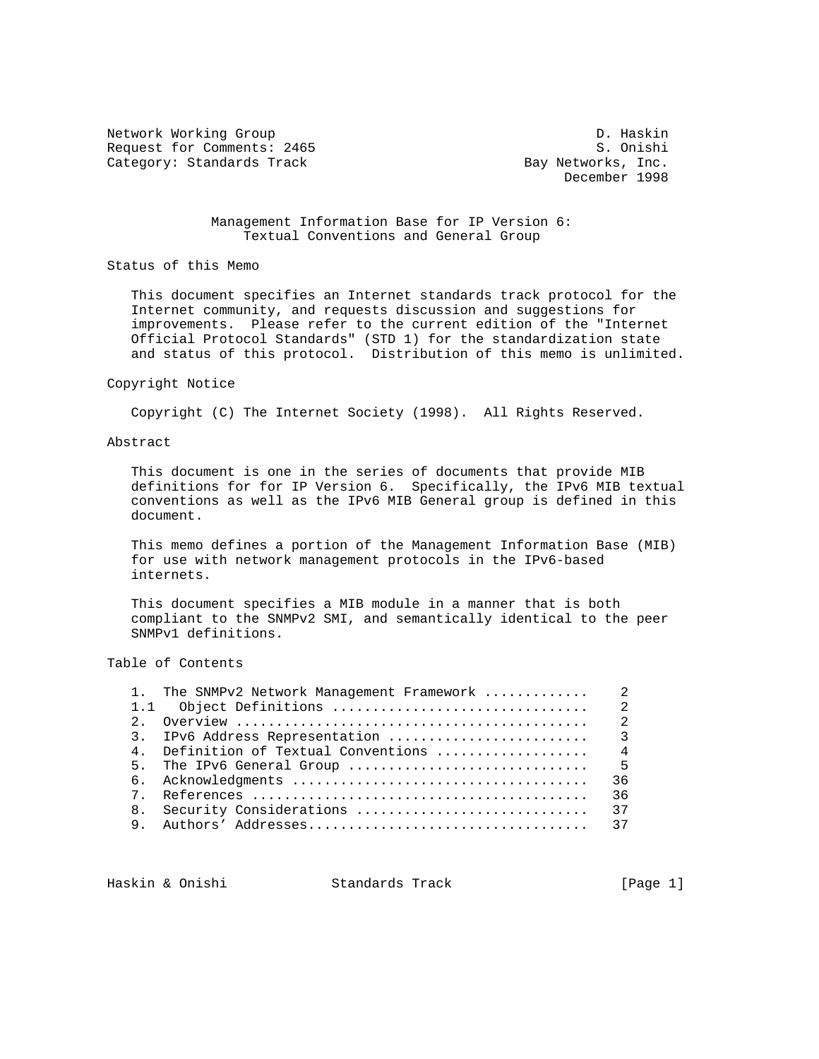Network Working Group D. Haskin Request for Comments: 2465 S. Onishi Category: Standards Track Bay Networks, Inc.

December 1998

 Management Information Base for IP Version 6: Textual Conventions and General Group

Status of this Memo

 This document specifies an Internet standards track protocol for the Internet community, and requests discussion and suggestions for improvements. Please refer to the current edition of the "Internet Official Protocol Standards" (STD 1) for the standardization state and status of this protocol. Distribution of this memo is unlimited.

#### Copyright Notice

Copyright (C) The Internet Society (1998). All Rights Reserved.

#### Abstract

 This document is one in the series of documents that provide MIB definitions for for IP Version 6. Specifically, the IPv6 MIB textual conventions as well as the IPv6 MIB General group is defined in this document.

 This memo defines a portion of the Management Information Base (MIB) for use with network management protocols in the IPv6-based internets.

 This document specifies a MIB module in a manner that is both compliant to the SNMPv2 SMI, and semantically identical to the peer SNMPv1 definitions.

## Table of Contents

|   | 4. Definition of Textual Conventions | $\overline{4}$ |
|---|--------------------------------------|----------------|
|   |                                      |                |
|   |                                      | 36             |
| 7 |                                      | 36             |
|   | 8. Security Considerations           | 37             |
| 9 |                                      |                |
|   |                                      |                |

Haskin & Onishi Standards Track [Page 1]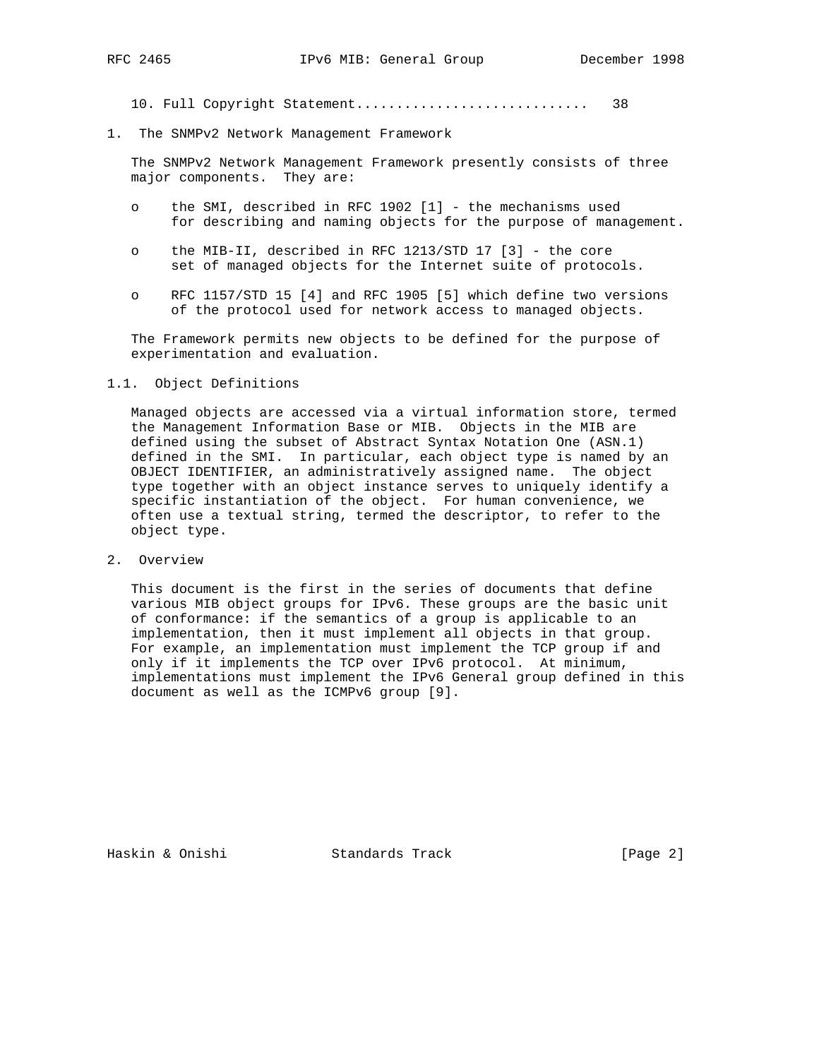10. Full Copyright Statement............................. 38

1. The SNMPv2 Network Management Framework

 The SNMPv2 Network Management Framework presently consists of three major components. They are:

- o the SMI, described in RFC 1902 [1] the mechanisms used for describing and naming objects for the purpose of management.
- o the MIB-II, described in RFC 1213/STD 17 [3] the core set of managed objects for the Internet suite of protocols.
- o RFC 1157/STD 15 [4] and RFC 1905 [5] which define two versions of the protocol used for network access to managed objects.

 The Framework permits new objects to be defined for the purpose of experimentation and evaluation.

## 1.1. Object Definitions

 Managed objects are accessed via a virtual information store, termed the Management Information Base or MIB. Objects in the MIB are defined using the subset of Abstract Syntax Notation One (ASN.1) defined in the SMI. In particular, each object type is named by an OBJECT IDENTIFIER, an administratively assigned name. The object type together with an object instance serves to uniquely identify a specific instantiation of the object. For human convenience, we often use a textual string, termed the descriptor, to refer to the object type.

2. Overview

 This document is the first in the series of documents that define various MIB object groups for IPv6. These groups are the basic unit of conformance: if the semantics of a group is applicable to an implementation, then it must implement all objects in that group. For example, an implementation must implement the TCP group if and only if it implements the TCP over IPv6 protocol. At minimum, implementations must implement the IPv6 General group defined in this document as well as the ICMPv6 group [9].

Haskin & Onishi Standards Track [Page 2]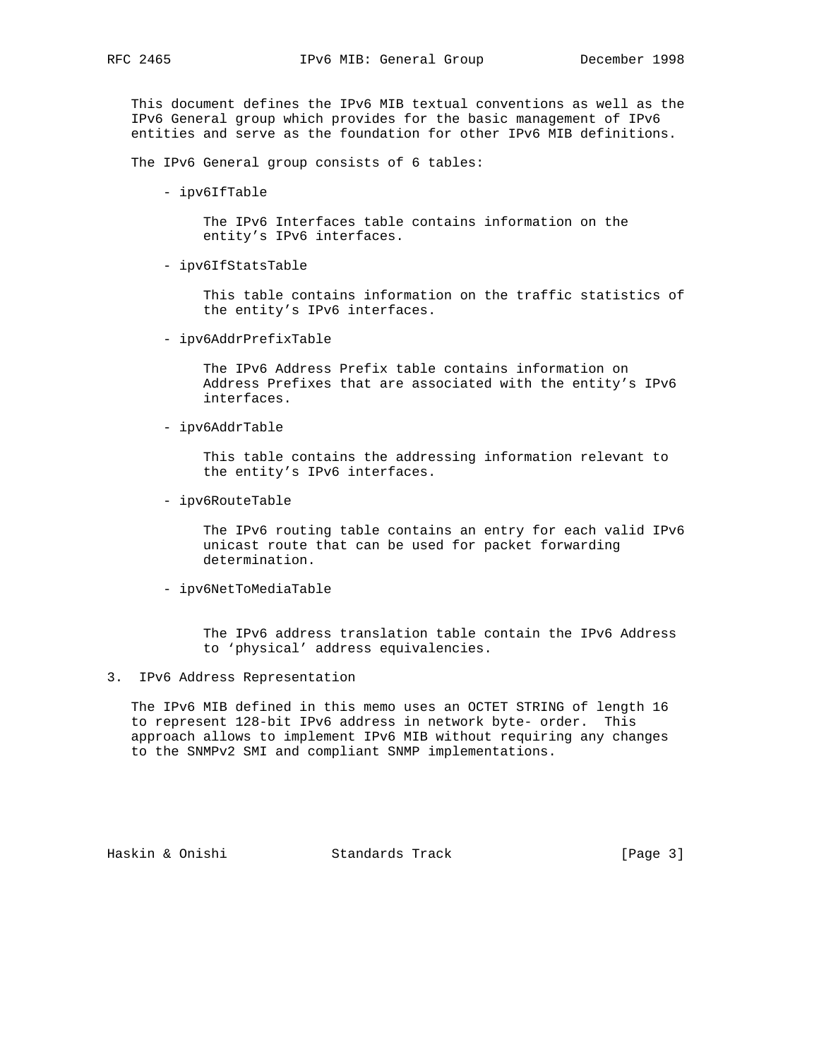This document defines the IPv6 MIB textual conventions as well as the IPv6 General group which provides for the basic management of IPv6 entities and serve as the foundation for other IPv6 MIB definitions.

The IPv6 General group consists of 6 tables:

- ipv6IfTable

 The IPv6 Interfaces table contains information on the entity's IPv6 interfaces.

- ipv6IfStatsTable

 This table contains information on the traffic statistics of the entity's IPv6 interfaces.

- ipv6AddrPrefixTable

 The IPv6 Address Prefix table contains information on Address Prefixes that are associated with the entity's IPv6 interfaces.

- ipv6AddrTable

 This table contains the addressing information relevant to the entity's IPv6 interfaces.

- ipv6RouteTable

 The IPv6 routing table contains an entry for each valid IPv6 unicast route that can be used for packet forwarding determination.

- ipv6NetToMediaTable

 The IPv6 address translation table contain the IPv6 Address to 'physical' address equivalencies.

3. IPv6 Address Representation

 The IPv6 MIB defined in this memo uses an OCTET STRING of length 16 to represent 128-bit IPv6 address in network byte- order. This approach allows to implement IPv6 MIB without requiring any changes to the SNMPv2 SMI and compliant SNMP implementations.

Haskin & Onishi Standards Track [Page 3]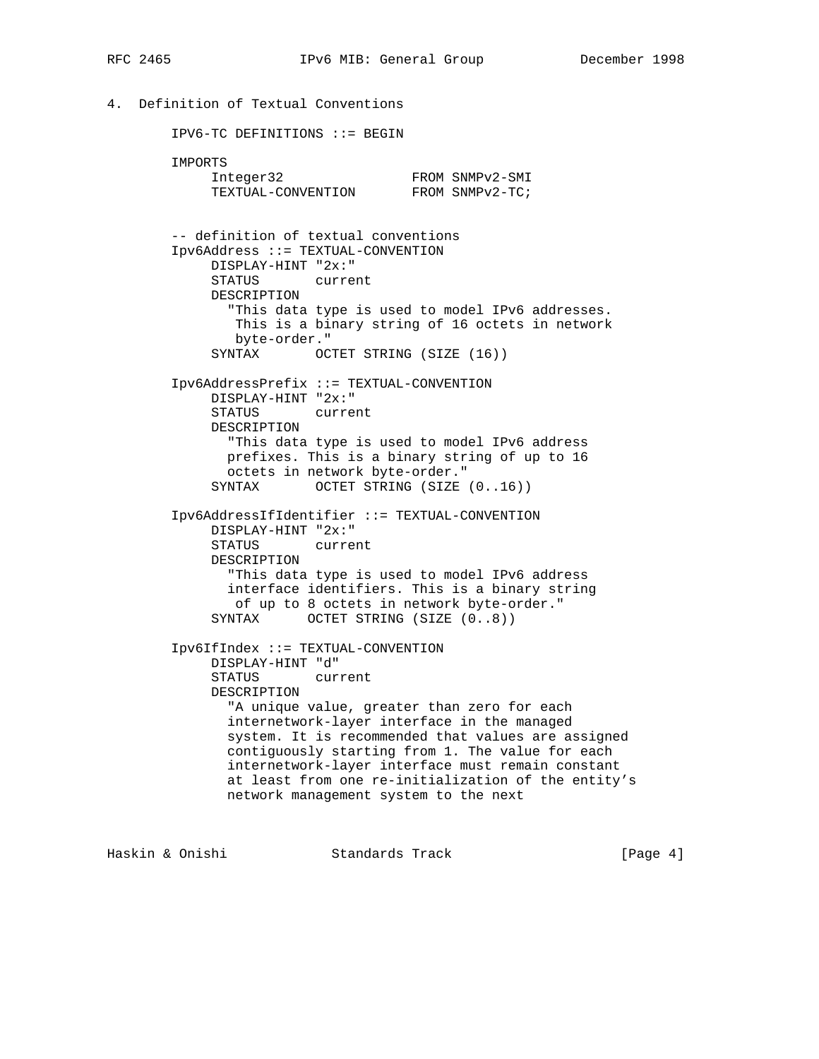```
4. Definition of Textual Conventions
```
 IPV6-TC DEFINITIONS ::= BEGIN IMPORTS Integer32 FROM SNMPv2-SMI TEXTUAL-CONVENTION FROM SNMPv2-TC; -- definition of textual conventions Ipv6Address ::= TEXTUAL-CONVENTION DISPLAY-HINT "2x:" STATUS current DESCRIPTION "This data type is used to model IPv6 addresses. This is a binary string of 16 octets in network byte-order." SYNTAX OCTET STRING (SIZE (16)) Ipv6AddressPrefix ::= TEXTUAL-CONVENTION DISPLAY-HINT "2x:" STATUS current DESCRIPTION "This data type is used to model IPv6 address prefixes. This is a binary string of up to 16 octets in network byte-order." SYNTAX OCTET STRING (SIZE (0..16)) Ipv6AddressIfIdentifier ::= TEXTUAL-CONVENTION DISPLAY-HINT "2x:" STATUS current DESCRIPTION "This data type is used to model IPv6 address interface identifiers. This is a binary string of up to 8 octets in network byte-order." SYNTAX OCTET STRING (SIZE  $(0..8)$ ) Ipv6IfIndex ::= TEXTUAL-CONVENTION DISPLAY-HINT "d" STATUS current DESCRIPTION "A unique value, greater than zero for each internetwork-layer interface in the managed system. It is recommended that values are assigned contiguously starting from 1. The value for each internetwork-layer interface must remain constant at least from one re-initialization of the entity's network management system to the next

Haskin & Onishi Standards Track [Page 4]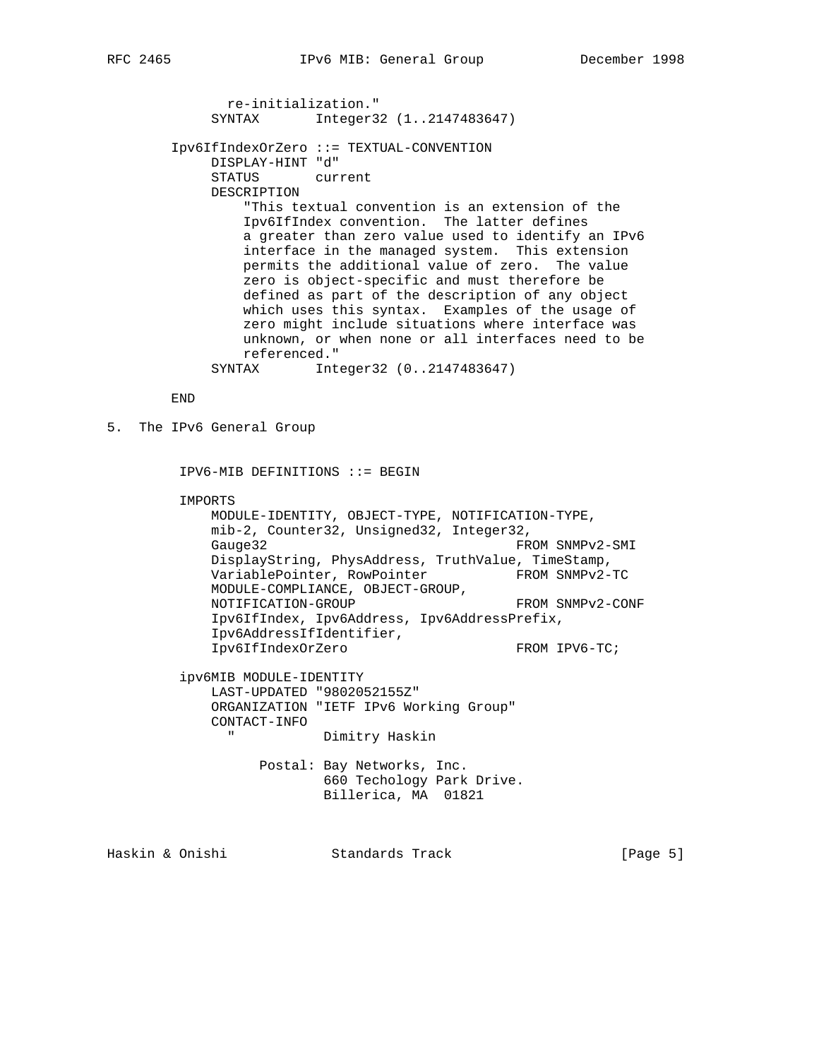re-initialization." SYNTAX Integer32 (1..2147483647) Ipv6IfIndexOrZero ::= TEXTUAL-CONVENTION DISPLAY-HINT "d" STATUS current DESCRIPTION "This textual convention is an extension of the Ipv6IfIndex convention. The latter defines a greater than zero value used to identify an IPv6 interface in the managed system. This extension permits the additional value of zero. The value zero is object-specific and must therefore be defined as part of the description of any object which uses this syntax. Examples of the usage of zero might include situations where interface was unknown, or when none or all interfaces need to be referenced." SYNTAX Integer32 (0..2147483647)

END

```
5. The IPv6 General Group
```
IPV6-MIB DEFINITIONS ::= BEGIN

IMPORTS

 MODULE-IDENTITY, OBJECT-TYPE, NOTIFICATION-TYPE, mib-2, Counter32, Unsigned32, Integer32, Gauge32 FROM SNMPv2-SMI DisplayString, PhysAddress, TruthValue, TimeStamp, VariablePointer, RowPointer FROM SNMPv2-TC MODULE-COMPLIANCE, OBJECT-GROUP, NOTIFICATION-GROUP FROM SNMPv2-CONF Ipv6IfIndex, Ipv6Address, Ipv6AddressPrefix, Ipv6AddressIfIdentifier, Ipv6IfIndexOrZero FROM IPV6-TC;

 ipv6MIB MODULE-IDENTITY LAST-UPDATED "9802052155Z" ORGANIZATION "IETF IPv6 Working Group" CONTACT-INFO " Dimitry Haskin

> Postal: Bay Networks, Inc. 660 Techology Park Drive. Billerica, MA 01821

Haskin & Onishi Standards Track [Page 5]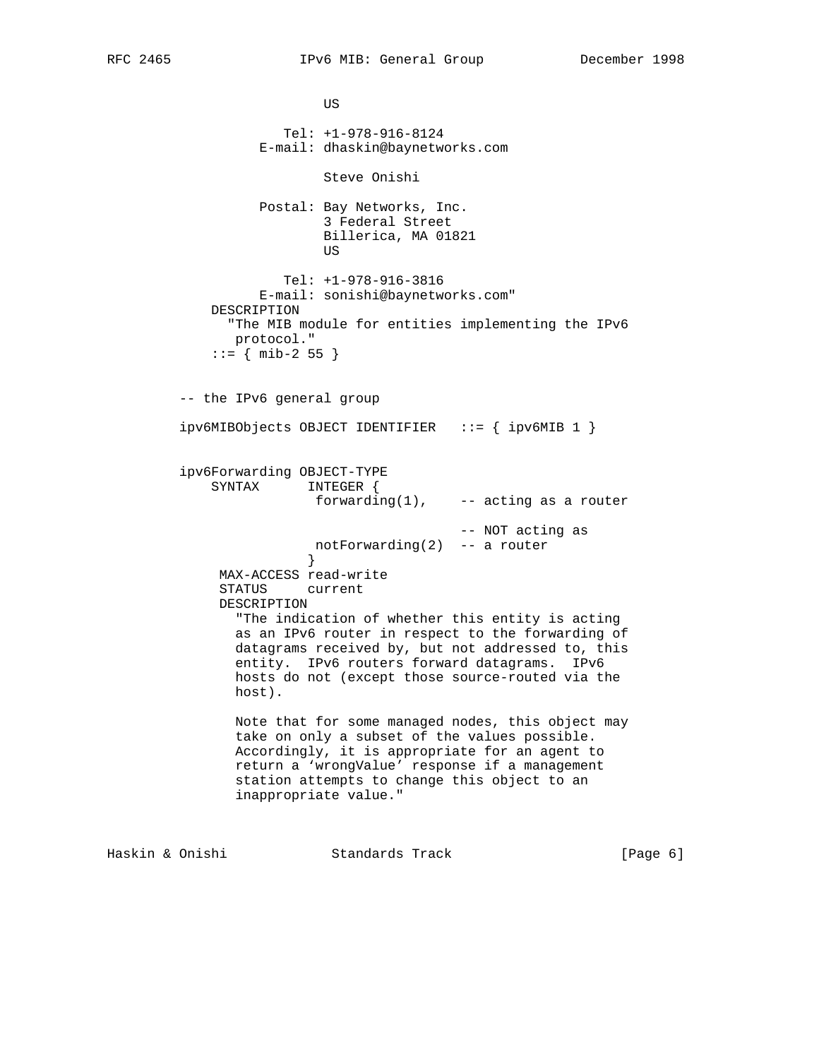**US**  Tel: +1-978-916-8124 E-mail: dhaskin@baynetworks.com Steve Onishi Postal: Bay Networks, Inc. 3 Federal Street Billerica, MA 01821 **US**  Tel: +1-978-916-3816 E-mail: sonishi@baynetworks.com" DESCRIPTION "The MIB module for entities implementing the IPv6 protocol."  $::=$  { mib-2 55 } -- the IPv6 general group ipv6MIBObjects OBJECT IDENTIFIER ::= { ipv6MIB 1 } ipv6Forwarding OBJECT-TYPE SYNTAX INTEGER { forwarding $(1)$ , -- acting as a router -- NOT acting as notForwarding(2) -- a router } MAX-ACCESS read-write STATUS current DESCRIPTION "The indication of whether this entity is acting as an IPv6 router in respect to the forwarding of datagrams received by, but not addressed to, this entity. IPv6 routers forward datagrams. IPv6 hosts do not (except those source-routed via the host). Note that for some managed nodes, this object may take on only a subset of the values possible. Accordingly, it is appropriate for an agent to return a 'wrongValue' response if a management station attempts to change this object to an inappropriate value." Haskin & Onishi Standards Track [Page 6]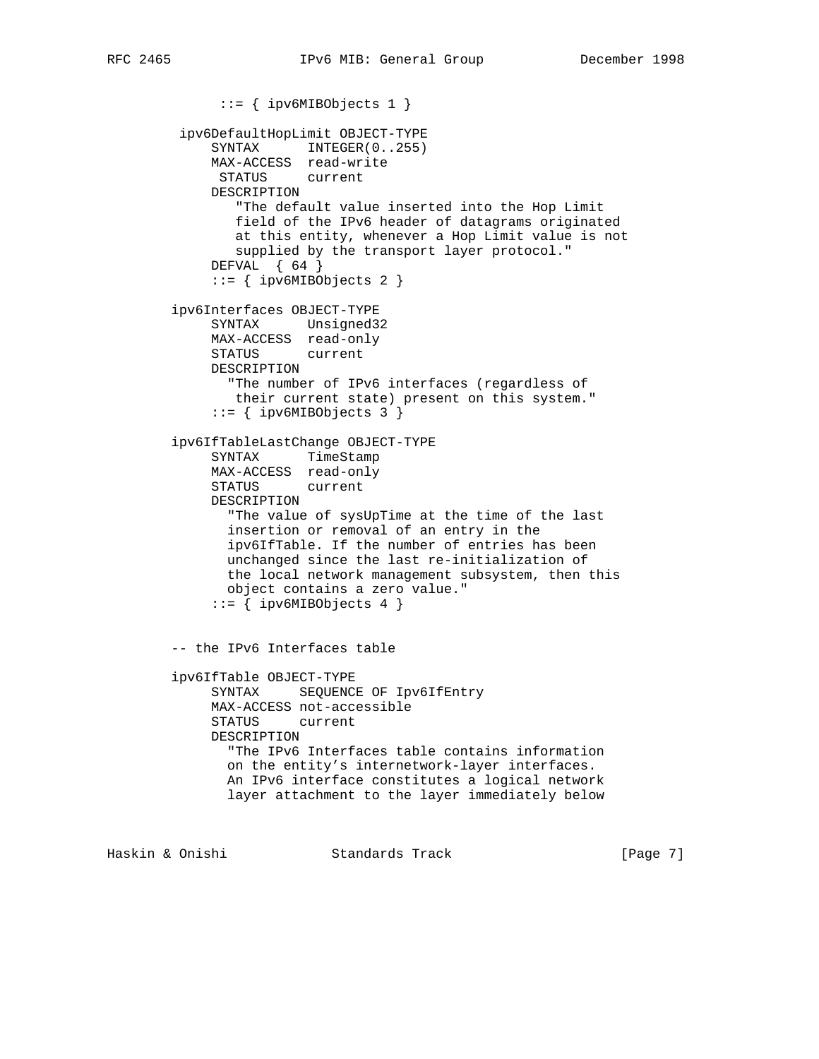```
 ::= { ipv6MIBObjects 1 }
  ipv6DefaultHopLimit OBJECT-TYPE
    SYNTAX INTEGER(0..255)
     MAX-ACCESS read-write
      STATUS current
     DESCRIPTION
        "The default value inserted into the Hop Limit
        field of the IPv6 header of datagrams originated
        at this entity, whenever a Hop Limit value is not
        supplied by the transport layer protocol."
    DEFVAL { 64 }
     ::= { ipv6MIBObjects 2 }
 ipv6Interfaces OBJECT-TYPE
     SYNTAX Unsigned32
     MAX-ACCESS read-only
     STATUS current
     DESCRIPTION
       "The number of IPv6 interfaces (regardless of
        their current state) present on this system."
      ::= { ipv6MIBObjects 3 }
 ipv6IfTableLastChange OBJECT-TYPE
     SYNTAX TimeStamp
     MAX-ACCESS read-only
     STATUS current
     DESCRIPTION
       "The value of sysUpTime at the time of the last
       insertion or removal of an entry in the
       ipv6IfTable. If the number of entries has been
       unchanged since the last re-initialization of
       the local network management subsystem, then this
       object contains a zero value."
    ::= { ipv6MIBObjects 4 }
 -- the IPv6 Interfaces table
 ipv6IfTable OBJECT-TYPE
     SYNTAX SEQUENCE OF Ipv6IfEntry
     MAX-ACCESS not-accessible
     STATUS current
     DESCRIPTION
       "The IPv6 Interfaces table contains information
       on the entity's internetwork-layer interfaces.
       An IPv6 interface constitutes a logical network
       layer attachment to the layer immediately below
```
Haskin & Onishi Standards Track [Page 7]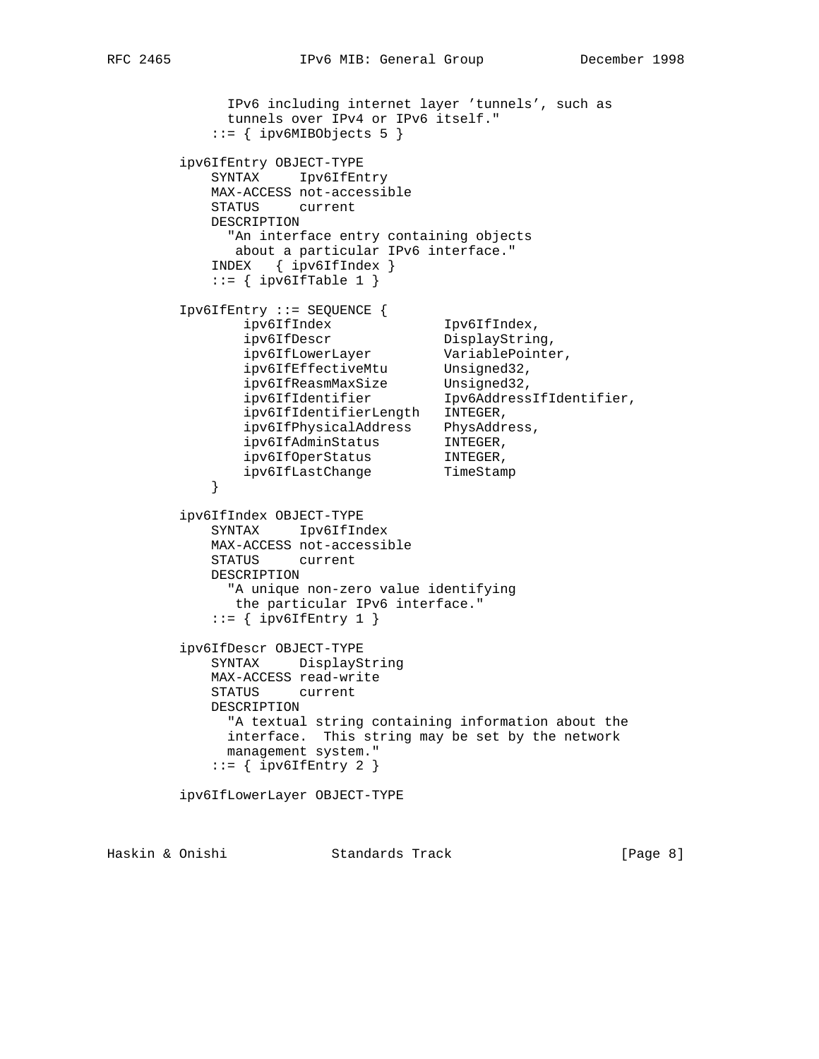```
 IPv6 including internet layer 'tunnels', such as
             tunnels over IPv4 or IPv6 itself."
           ::= { ipv6MIBObjects 5 }
        ipv6IfEntry OBJECT-TYPE
           SYNTAX Ipv6IfEntry
           MAX-ACCESS not-accessible
           STATUS current
           DESCRIPTION
             "An interface entry containing objects
             about a particular IPv6 interface."
           INDEX { ipv6IfIndex }
          ::= { ipv6IfTable 1 }
        Ipv6IfEntry ::= SEQUENCE {
 ipv6IfIndex Ipv6IfIndex,
ipv6IfDescr DisplayString,
 ipv6IfLowerLayer VariablePointer,
 ipv6IfEffectiveMtu Unsigned32,
 ipv6IfReasmMaxSize Unsigned32,
 ipv6IfIdentifier Ipv6AddressIfIdentifier,
              ipv6IfIdentifierLength INTEGER,
 ipv6IfPhysicalAddress PhysAddress,
 ipv6IfAdminStatus INTEGER,
ipv6IfOperStatus INTEGER,
ipv6IfLastChange  TimeStamp
 }
        ipv6IfIndex OBJECT-TYPE
           SYNTAX Ipv6IfIndex
           MAX-ACCESS not-accessible
           STATUS current
           DESCRIPTION
             "A unique non-zero value identifying
             the particular IPv6 interface."
          ::= { ipv6IfEntry 1 }
        ipv6IfDescr OBJECT-TYPE
           SYNTAX DisplayString
           MAX-ACCESS read-write
           STATUS current
           DESCRIPTION
             "A textual string containing information about the
             interface. This string may be set by the network
             management system."
          ::= { ipv6IfEntry 2 }
        ipv6IfLowerLayer OBJECT-TYPE
```
Haskin & Onishi Standards Track [Page 8]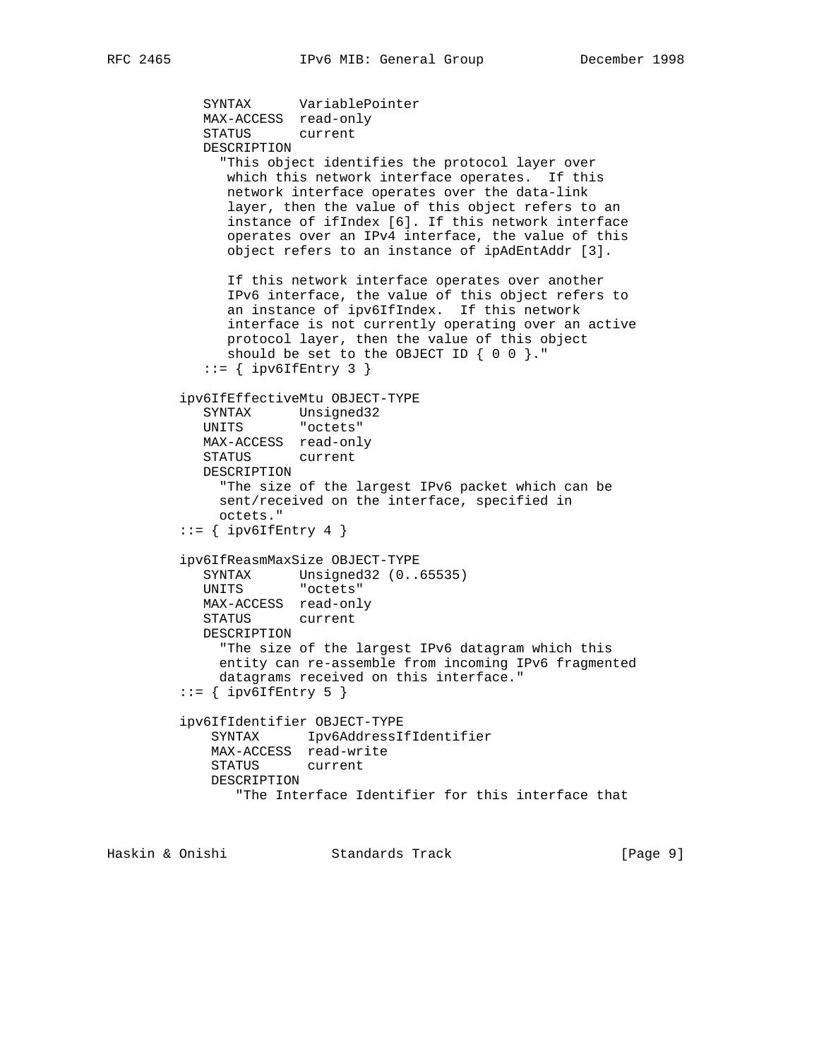```
 SYNTAX VariablePointer
   MAX-ACCESS read-only
   STATUS current
   DESCRIPTION
      "This object identifies the protocol layer over
      which this network interface operates. If this
      network interface operates over the data-link
      layer, then the value of this object refers to an
      instance of ifIndex [6]. If this network interface
      operates over an IPv4 interface, the value of this
      object refers to an instance of ipAdEntAddr [3].
      If this network interface operates over another
      IPv6 interface, the value of this object refers to
      an instance of ipv6IfIndex. If this network
      interface is not currently operating over an active
      protocol layer, then the value of this object
      should be set to the OBJECT ID { 0 0 }."
   ::= { ipv6IfEntry 3 }
 ipv6IfEffectiveMtu OBJECT-TYPE
   SYNTAX Unsigned32
   UNITS "octets"
   MAX-ACCESS read-only
   STATUS current
   DESCRIPTION
     "The size of the largest IPv6 packet which can be
     sent/received on the interface, specified in
     octets."
::= { ipv6IfEntry 4 }
 ipv6IfReasmMaxSize OBJECT-TYPE
   SYNTAX Unsigned32 (0..65535)
   UNITS "octets"
   MAX-ACCESS read-only
   STATUS current
   DESCRIPTION
     "The size of the largest IPv6 datagram which this
     entity can re-assemble from incoming IPv6 fragmented
     datagrams received on this interface."
::= { ipv6IfEntry 5 }
 ipv6IfIdentifier OBJECT-TYPE
    SYNTAX Ipv6AddressIfIdentifier
    MAX-ACCESS read-write
    STATUS current
    DESCRIPTION
        "The Interface Identifier for this interface that
```
Haskin & Onishi Standards Track [Page 9]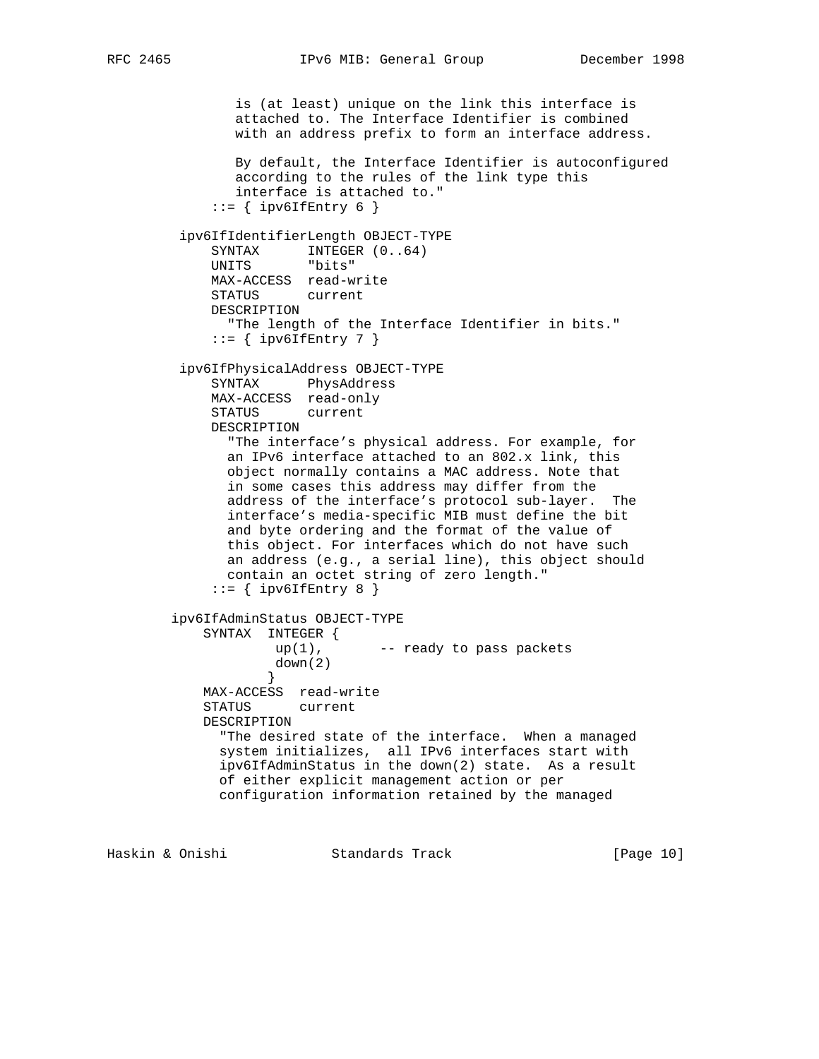is (at least) unique on the link this interface is attached to. The Interface Identifier is combined with an address prefix to form an interface address. By default, the Interface Identifier is autoconfigured according to the rules of the link type this interface is attached to."  $::=$  { ipv6IfEntry 6 } ipv6IfIdentifierLength OBJECT-TYPE SYNTAX INTEGER  $(0..64)$  UNITS "bits" MAX-ACCESS read-write STATUS current DESCRIPTION "The length of the Interface Identifier in bits."  $::=$  { ipv6IfEntry 7 } ipv6IfPhysicalAddress OBJECT-TYPE SYNTAX PhysAddress MAX-ACCESS read-only STATUS current DESCRIPTION "The interface's physical address. For example, for an IPv6 interface attached to an 802.x link, this object normally contains a MAC address. Note that in some cases this address may differ from the address of the interface's protocol sub-layer. The interface's media-specific MIB must define the bit and byte ordering and the format of the value of this object. For interfaces which do not have such an address (e.g., a serial line), this object should contain an octet string of zero length."  $::=$  { ipv6IfEntry 8 } ipv6IfAdminStatus OBJECT-TYPE SYNTAX INTEGER { up(1), -- ready to pass packets down(2) } MAX-ACCESS read-write STATUS current DESCRIPTION "The desired state of the interface. When a managed system initializes, all IPv6 interfaces start with ipv6IfAdminStatus in the down(2) state. As a result of either explicit management action or per configuration information retained by the managed

Haskin & Onishi Standards Track [Page 10]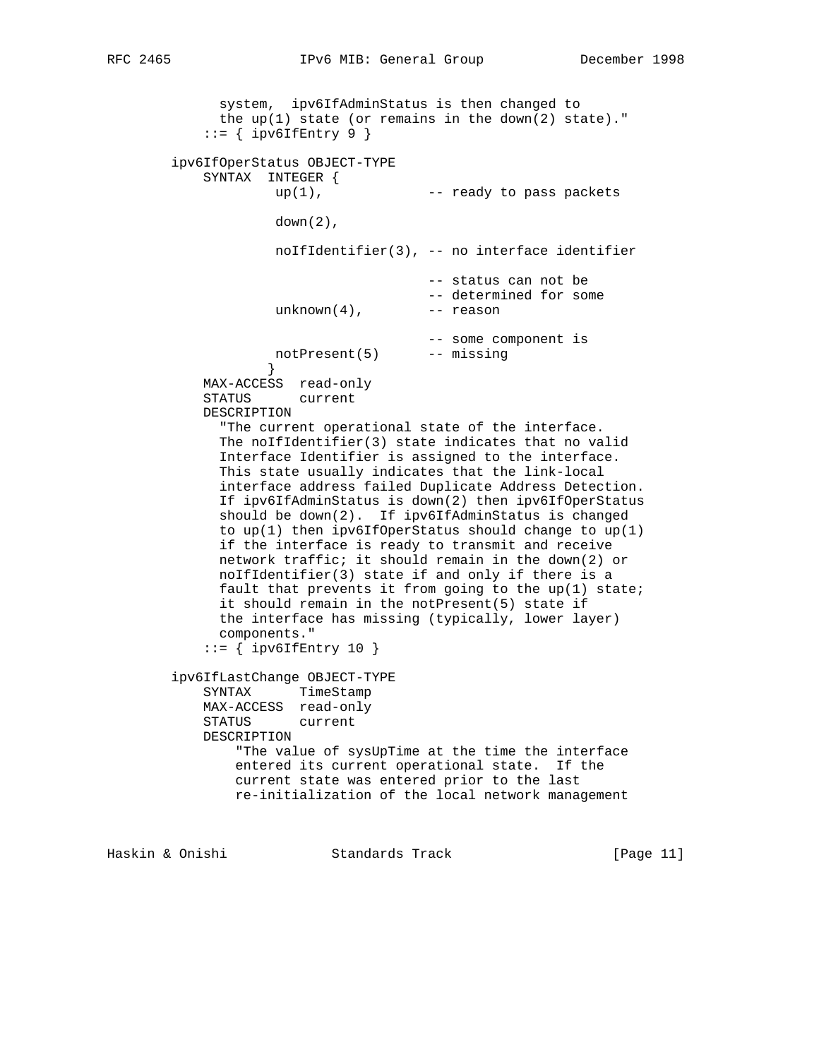system, ipv6IfAdminStatus is then changed to the  $up(1)$  state (or remains in the down(2) state)."  $::=$  { ipv6IfEntry 9 } ipv6IfOperStatus OBJECT-TYPE SYNTAX INTEGER {  $up(1)$ ,  $--$  ready to pass packets  $down(2)$ , noIfIdentifier(3), -- no interface identifier -- status can not be -- determined for some  $unknown(4)$ ,  $---$  reason -- some component is notPresent(5) -- missing } MAX-ACCESS read-only STATUS current DESCRIPTION "The current operational state of the interface. The noIfIdentifier(3) state indicates that no valid Interface Identifier is assigned to the interface. This state usually indicates that the link-local interface address failed Duplicate Address Detection. If ipv6IfAdminStatus is down(2) then ipv6IfOperStatus should be down(2). If ipv6IfAdminStatus is changed to  $up(1)$  then ipv6IfOperStatus should change to  $up(1)$  if the interface is ready to transmit and receive network traffic; it should remain in the down(2) or noIfIdentifier(3) state if and only if there is a fault that prevents it from going to the up(1) state; it should remain in the notPresent(5) state if the interface has missing (typically, lower layer) components."  $::=$  { ipv6IfEntry 10 } ipv6IfLastChange OBJECT-TYPE SYNTAX TimeStamp MAX-ACCESS read-only STATUS current DESCRIPTION "The value of sysUpTime at the time the interface entered its current operational state. If the current state was entered prior to the last re-initialization of the local network management

Haskin & Onishi Standards Track [Page 11]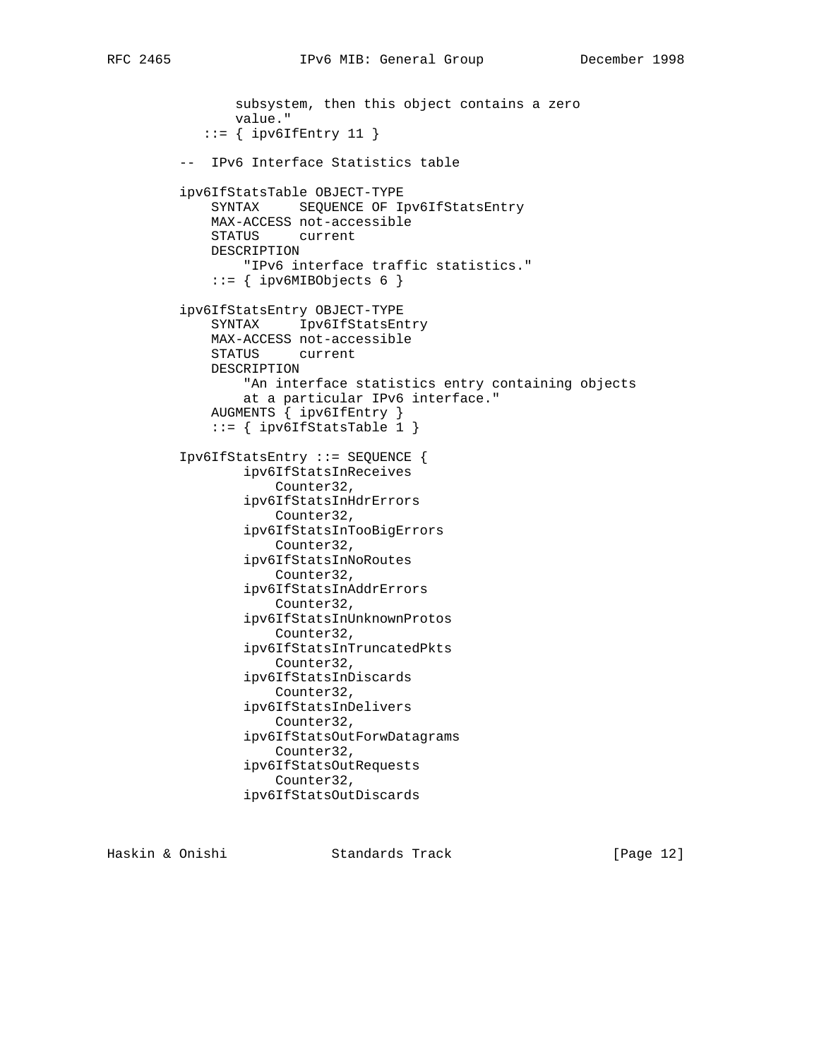```
 subsystem, then this object contains a zero
        value."
   ::= { ipv6IfEntry 11 }
 -- IPv6 Interface Statistics table
 ipv6IfStatsTable OBJECT-TYPE
    SYNTAX SEQUENCE OF Ipv6IfStatsEntry
     MAX-ACCESS not-accessible
     STATUS current
     DESCRIPTION
        "IPv6 interface traffic statistics."
     ::= { ipv6MIBObjects 6 }
 ipv6IfStatsEntry OBJECT-TYPE
     SYNTAX Ipv6IfStatsEntry
     MAX-ACCESS not-accessible
     STATUS current
     DESCRIPTION
        "An interface statistics entry containing objects
        at a particular IPv6 interface."
     AUGMENTS { ipv6IfEntry }
    ::= { ipv6IfStatsTable 1 }
 Ipv6IfStatsEntry ::= SEQUENCE {
         ipv6IfStatsInReceives
             Counter32,
         ipv6IfStatsInHdrErrors
             Counter32,
         ipv6IfStatsInTooBigErrors
             Counter32,
         ipv6IfStatsInNoRoutes
             Counter32,
         ipv6IfStatsInAddrErrors
             Counter32,
         ipv6IfStatsInUnknownProtos
            Counter32,
         ipv6IfStatsInTruncatedPkts
             Counter32,
         ipv6IfStatsInDiscards
             Counter32,
         ipv6IfStatsInDelivers
             Counter32,
         ipv6IfStatsOutForwDatagrams
             Counter32,
         ipv6IfStatsOutRequests
             Counter32,
         ipv6IfStatsOutDiscards
```
Haskin & Onishi Standards Track [Page 12]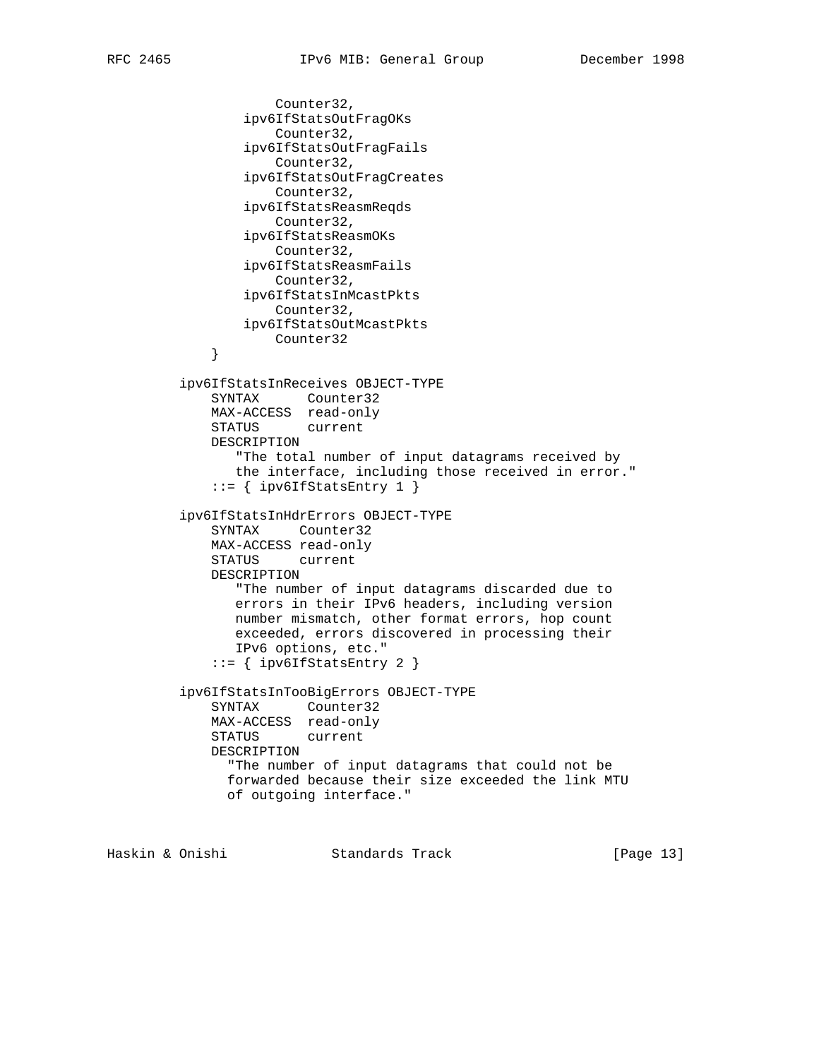```
 Counter32,
                  ipv6IfStatsOutFragOKs
                      Counter32,
                  ipv6IfStatsOutFragFails
                      Counter32,
                  ipv6IfStatsOutFragCreates
                     Counter32,
                  ipv6IfStatsReasmReqds
                     Counter32,
                  ipv6IfStatsReasmOKs
                     Counter32,
                  ipv6IfStatsReasmFails
                     Counter32,
                  ipv6IfStatsInMcastPkts
                     Counter32,
                 ipv6IfStatsOutMcastPkts
              Counter32
 }
          ipv6IfStatsInReceives OBJECT-TYPE
             SYNTAX Counter32
             MAX-ACCESS read-only
             STATUS current
             DESCRIPTION
                 "The total number of input datagrams received by
                the interface, including those received in error."
             ::= { ipv6IfStatsEntry 1 }
          ipv6IfStatsInHdrErrors OBJECT-TYPE
             SYNTAX Counter32
             MAX-ACCESS read-only
             STATUS current
             DESCRIPTION
                "The number of input datagrams discarded due to
                errors in their IPv6 headers, including version
                number mismatch, other format errors, hop count
                exceeded, errors discovered in processing their
                IPv6 options, etc."
              ::= { ipv6IfStatsEntry 2 }
          ipv6IfStatsInTooBigErrors OBJECT-TYPE
             SYNTAX Counter32
             MAX-ACCESS read-only
             STATUS current
             DESCRIPTION
               "The number of input datagrams that could not be
               forwarded because their size exceeded the link MTU
               of outgoing interface."
```
Haskin & Onishi Standards Track [Page 13]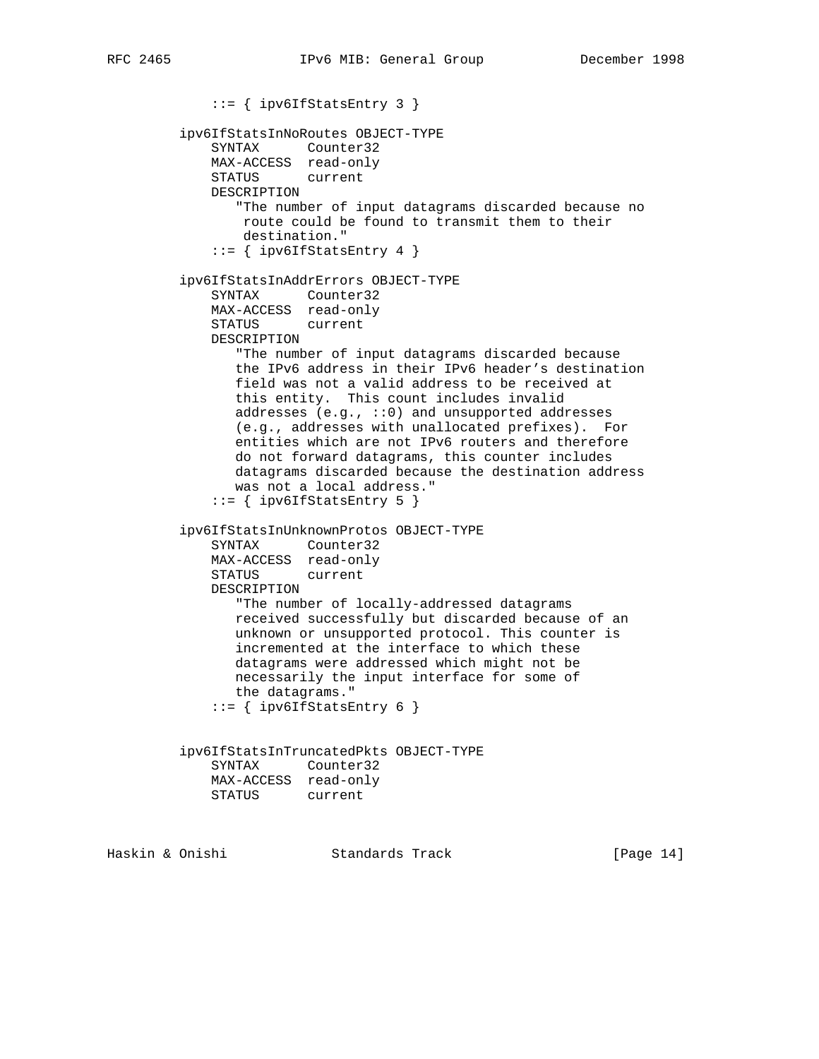::= { ipv6IfStatsEntry 3 } ipv6IfStatsInNoRoutes OBJECT-TYPE SYNTAX Counter32 MAX-ACCESS read-only STATUS current DESCRIPTION "The number of input datagrams discarded because no route could be found to transmit them to their destination."  $::=$  { ipv6IfStatsEntry 4 } ipv6IfStatsInAddrErrors OBJECT-TYPE SYNTAX Counter32 MAX-ACCESS read-only STATUS current DESCRIPTION "The number of input datagrams discarded because the IPv6 address in their IPv6 header's destination field was not a valid address to be received at this entity. This count includes invalid addresses (e.g., ::0) and unsupported addresses (e.g., addresses with unallocated prefixes). For entities which are not IPv6 routers and therefore do not forward datagrams, this counter includes datagrams discarded because the destination address was not a local address."  $::=$  { ipv6IfStatsEntry 5 } ipv6IfStatsInUnknownProtos OBJECT-TYPE SYNTAX Counter32 MAX-ACCESS read-only STATUS current DESCRIPTION "The number of locally-addressed datagrams received successfully but discarded because of an unknown or unsupported protocol. This counter is incremented at the interface to which these datagrams were addressed which might not be necessarily the input interface for some of the datagrams."  $::=$  { ipv6IfStatsEntry 6 } ipv6IfStatsInTruncatedPkts OBJECT-TYPE SYNTAX Counter32 MAX-ACCESS read-only STATUS current

Haskin & Onishi Standards Track [Page 14]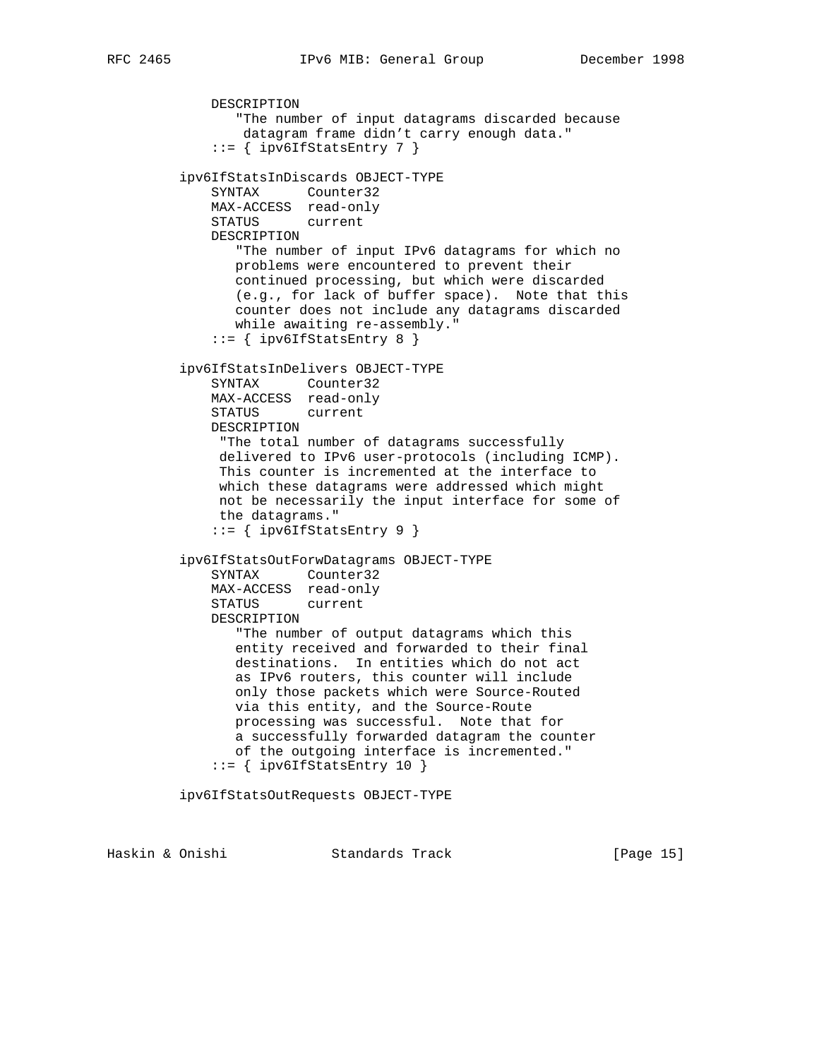```
 "The number of input datagrams discarded because
        datagram frame didn't carry enough data."
     ::= { ipv6IfStatsEntry 7 }
 ipv6IfStatsInDiscards OBJECT-TYPE
    SYNTAX Counter32
    MAX-ACCESS read-only
    STATUS current
    DESCRIPTION
        "The number of input IPv6 datagrams for which no
       problems were encountered to prevent their
       continued processing, but which were discarded
        (e.g., for lack of buffer space). Note that this
        counter does not include any datagrams discarded
       while awaiting re-assembly."
    ::= { ipv6IfStatsEntry 8 }
 ipv6IfStatsInDelivers OBJECT-TYPE
    SYNTAX Counter32
    MAX-ACCESS read-only
    STATUS current
    DESCRIPTION
     "The total number of datagrams successfully
     delivered to IPv6 user-protocols (including ICMP).
     This counter is incremented at the interface to
     which these datagrams were addressed which might
     not be necessarily the input interface for some of
     the datagrams."
     ::= { ipv6IfStatsEntry 9 }
 ipv6IfStatsOutForwDatagrams OBJECT-TYPE
    SYNTAX Counter32
    MAX-ACCESS read-only
    STATUS current
    DESCRIPTION
        "The number of output datagrams which this
        entity received and forwarded to their final
        destinations. In entities which do not act
       as IPv6 routers, this counter will include
       only those packets which were Source-Routed
       via this entity, and the Source-Route
       processing was successful. Note that for
       a successfully forwarded datagram the counter
       of the outgoing interface is incremented."
     ::= { ipv6IfStatsEntry 10 }
 ipv6IfStatsOutRequests OBJECT-TYPE
```
Haskin & Onishi Standards Track [Page 15]

DESCRIPTION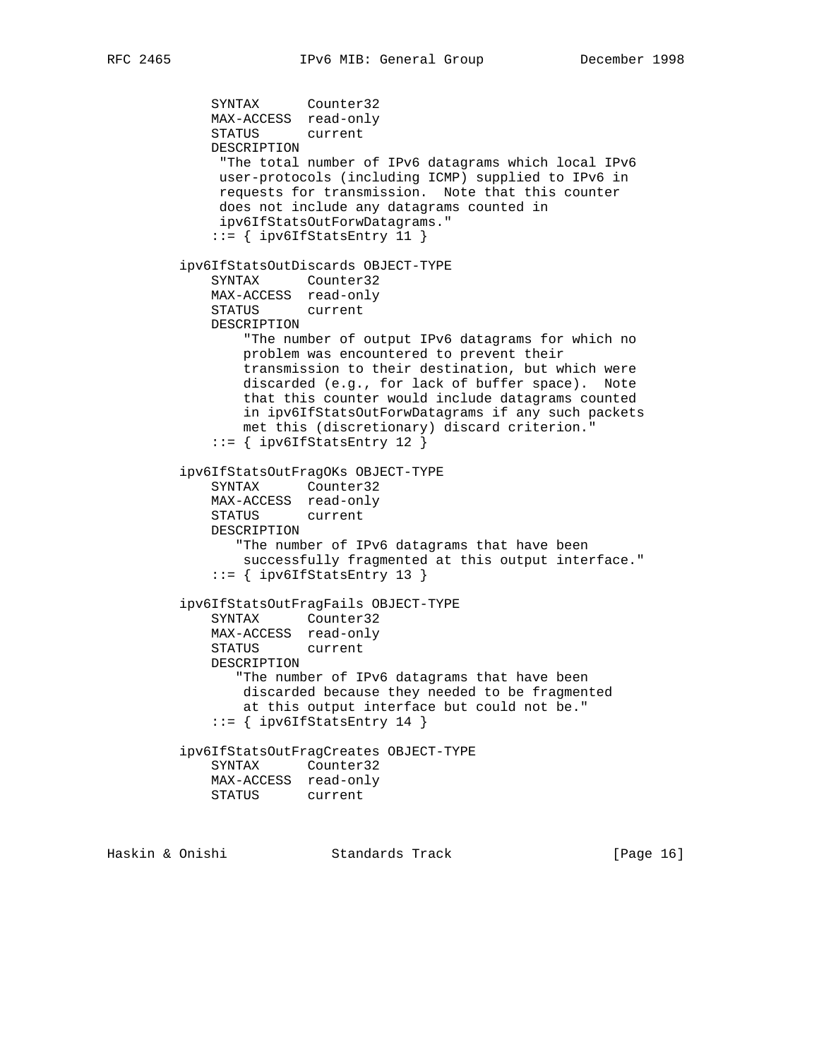SYNTAX Counter32 MAX-ACCESS read-only STATUS current DESCRIPTION "The total number of IPv6 datagrams which local IPv6 user-protocols (including ICMP) supplied to IPv6 in requests for transmission. Note that this counter does not include any datagrams counted in ipv6IfStatsOutForwDatagrams." ::= { ipv6IfStatsEntry 11 } ipv6IfStatsOutDiscards OBJECT-TYPE SYNTAX Counter32 MAX-ACCESS read-only STATUS current DESCRIPTION "The number of output IPv6 datagrams for which no problem was encountered to prevent their transmission to their destination, but which were discarded (e.g., for lack of buffer space). Note that this counter would include datagrams counted in ipv6IfStatsOutForwDatagrams if any such packets met this (discretionary) discard criterion." ::= { ipv6IfStatsEntry 12 } ipv6IfStatsOutFragOKs OBJECT-TYPE SYNTAX Counter32 MAX-ACCESS read-only STATUS current DESCRIPTION "The number of IPv6 datagrams that have been successfully fragmented at this output interface." ::= { ipv6IfStatsEntry 13 } ipv6IfStatsOutFragFails OBJECT-TYPE SYNTAX Counter32 MAX-ACCESS read-only STATUS current DESCRIPTION "The number of IPv6 datagrams that have been discarded because they needed to be fragmented at this output interface but could not be." ::= { ipv6IfStatsEntry 14 } ipv6IfStatsOutFragCreates OBJECT-TYPE SYNTAX Counter32 MAX-ACCESS read-only STATUS current

Haskin & Onishi Standards Track [Page 16]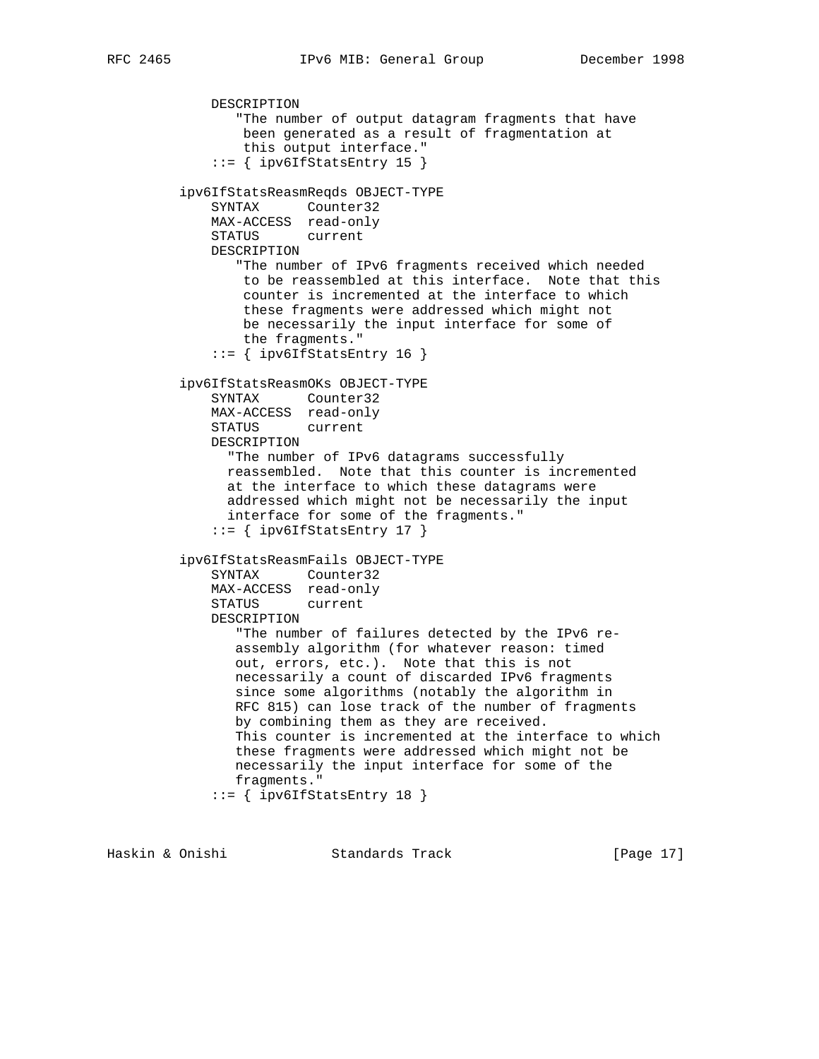```
 DESCRIPTION
        "The number of output datagram fragments that have
        been generated as a result of fragmentation at
        this output interface."
    ::= { ipv6IfStatsEntry 15 }
 ipv6IfStatsReasmReqds OBJECT-TYPE
    SYNTAX Counter32
    MAX-ACCESS read-only
    STATUS current
    DESCRIPTION
       "The number of IPv6 fragments received which needed
        to be reassembled at this interface. Note that this
        counter is incremented at the interface to which
        these fragments were addressed which might not
        be necessarily the input interface for some of
        the fragments."
    ::= { ipv6IfStatsEntry 16 }
 ipv6IfStatsReasmOKs OBJECT-TYPE
    SYNTAX Counter32
    MAX-ACCESS read-only
    STATUS current
    DESCRIPTION
      "The number of IPv6 datagrams successfully
      reassembled. Note that this counter is incremented
      at the interface to which these datagrams were
      addressed which might not be necessarily the input
      interface for some of the fragments."
     ::= { ipv6IfStatsEntry 17 }
 ipv6IfStatsReasmFails OBJECT-TYPE
    SYNTAX Counter32
    MAX-ACCESS read-only
    STATUS current
    DESCRIPTION
       "The number of failures detected by the IPv6 re-
       assembly algorithm (for whatever reason: timed
       out, errors, etc.). Note that this is not
       necessarily a count of discarded IPv6 fragments
       since some algorithms (notably the algorithm in
       RFC 815) can lose track of the number of fragments
       by combining them as they are received.
       This counter is incremented at the interface to which
       these fragments were addressed which might not be
       necessarily the input interface for some of the
       fragments."
     ::= { ipv6IfStatsEntry 18 }
```
Haskin & Onishi Standards Track [Page 17]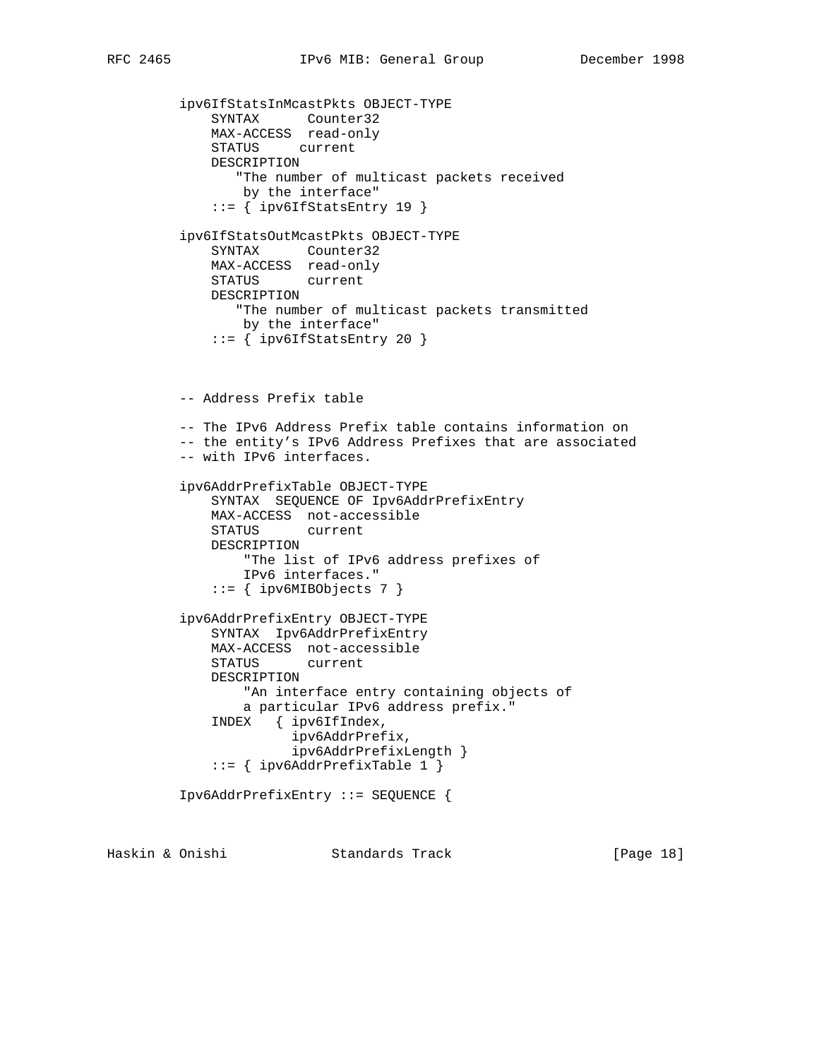```
 ipv6IfStatsInMcastPkts OBJECT-TYPE
     SYNTAX Counter32
     MAX-ACCESS read-only
     STATUS current
     DESCRIPTION
        "The number of multicast packets received
        by the interface"
    ::= { ipv6IfStatsEntry 19 }
 ipv6IfStatsOutMcastPkts OBJECT-TYPE
     SYNTAX Counter32
     MAX-ACCESS read-only
     STATUS current
     DESCRIPTION
       "The number of multicast packets transmitted
        by the interface"
    ::= { ipv6IfStatsEntry 20 }
 -- Address Prefix table
 -- The IPv6 Address Prefix table contains information on
 -- the entity's IPv6 Address Prefixes that are associated
 -- with IPv6 interfaces.
 ipv6AddrPrefixTable OBJECT-TYPE
     SYNTAX SEQUENCE OF Ipv6AddrPrefixEntry
     MAX-ACCESS not-accessible
     STATUS current
     DESCRIPTION
        "The list of IPv6 address prefixes of
        IPv6 interfaces."
     ::= { ipv6MIBObjects 7 }
 ipv6AddrPrefixEntry OBJECT-TYPE
     SYNTAX Ipv6AddrPrefixEntry
     MAX-ACCESS not-accessible
     STATUS current
     DESCRIPTION
        "An interface entry containing objects of
        a particular IPv6 address prefix."
     INDEX { ipv6IfIndex,
               ipv6AddrPrefix,
               ipv6AddrPrefixLength }
     ::= { ipv6AddrPrefixTable 1 }
 Ipv6AddrPrefixEntry ::= SEQUENCE {
```
Haskin & Onishi Standards Track [Page 18]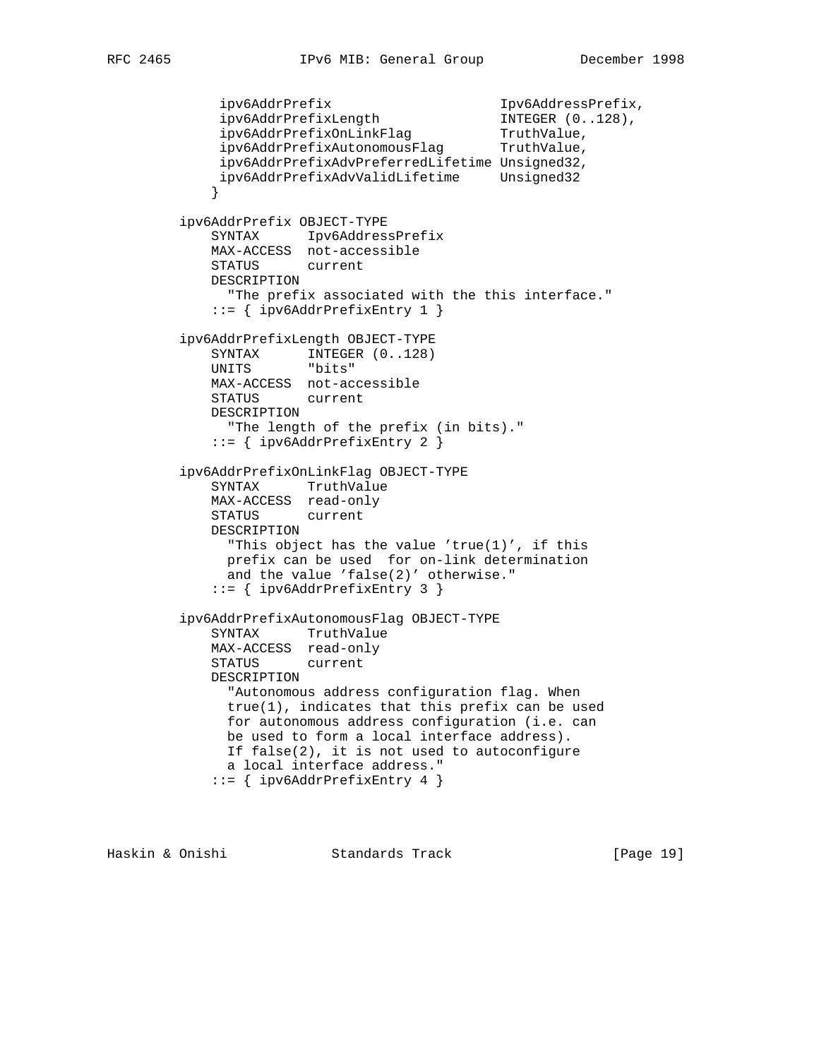```
 ipv6AddrPrefix Ipv6AddressPrefix,
 ipv6AddrPrefixLength INTEGER (0..128),
 ipv6AddrPrefixOnLinkFlag TruthValue,
ipv6AddrPrefixAutonomousFlag TruthValue,
             ipv6AddrPrefixAdvPreferredLifetime Unsigned32,
             ipv6AddrPrefixAdvValidLifetime Unsigned32
 }
         ipv6AddrPrefix OBJECT-TYPE
            SYNTAX Ipv6AddressPrefix
            MAX-ACCESS not-accessible
            STATUS current
            DESCRIPTION
              "The prefix associated with the this interface."
            ::= { ipv6AddrPrefixEntry 1 }
         ipv6AddrPrefixLength OBJECT-TYPE
           SYNTAX INTEGER (0..128)<br>UNITS "bits"
           UNITS
            MAX-ACCESS not-accessible
            STATUS current
            DESCRIPTION
              "The length of the prefix (in bits)."
            ::= { ipv6AddrPrefixEntry 2 }
         ipv6AddrPrefixOnLinkFlag OBJECT-TYPE
            SYNTAX TruthValue
            MAX-ACCESS read-only
            STATUS current
            DESCRIPTION
              "This object has the value 'true(1)', if this
             prefix can be used for on-link determination
             and the value 'false(2)' otherwise."
             ::= { ipv6AddrPrefixEntry 3 }
         ipv6AddrPrefixAutonomousFlag OBJECT-TYPE
            SYNTAX TruthValue
            MAX-ACCESS read-only
            STATUS current
            DESCRIPTION
              "Autonomous address configuration flag. When
              true(1), indicates that this prefix can be used
              for autonomous address configuration (i.e. can
              be used to form a local interface address).
              If false(2), it is not used to autoconfigure
              a local interface address."
             ::= { ipv6AddrPrefixEntry 4 }
```
Haskin & Onishi Standards Track [Page 19]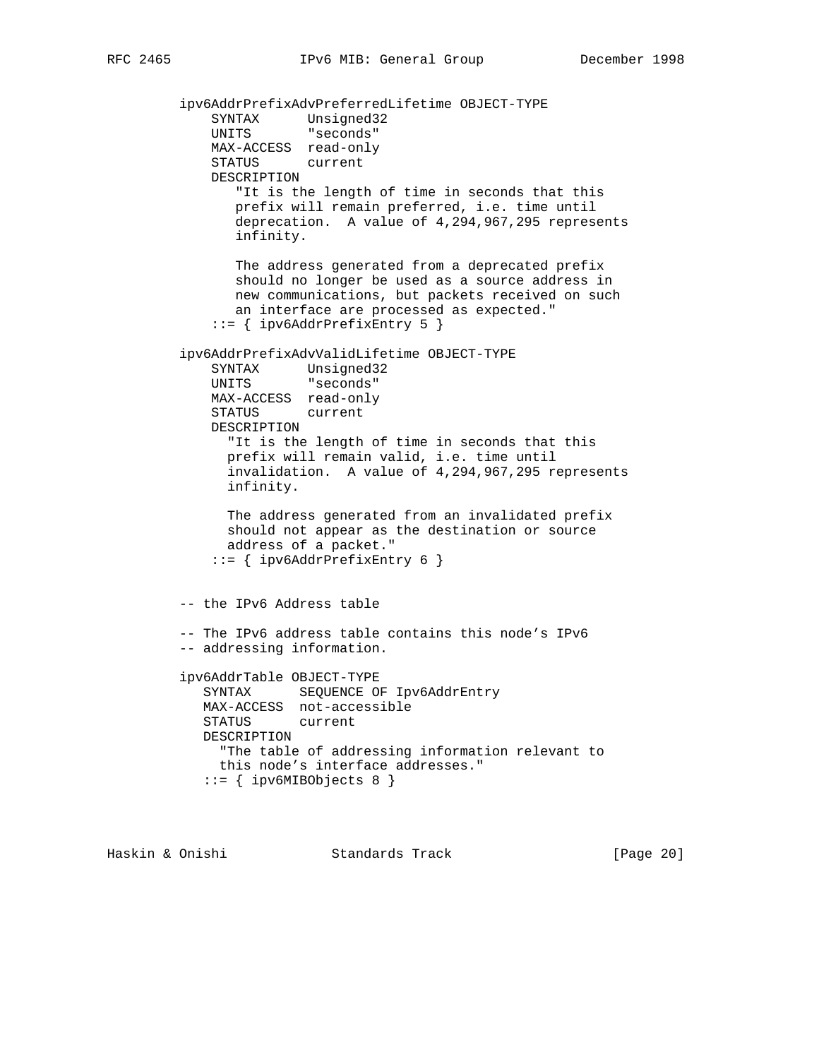ipv6AddrPrefixAdvPreferredLifetime OBJECT-TYPE SYNTAX Unsigned32 UNITS "seconds" MAX-ACCESS read-only STATUS current DESCRIPTION "It is the length of time in seconds that this prefix will remain preferred, i.e. time until deprecation. A value of 4,294,967,295 represents infinity. The address generated from a deprecated prefix should no longer be used as a source address in new communications, but packets received on such an interface are processed as expected." ::= { ipv6AddrPrefixEntry 5 } ipv6AddrPrefixAdvValidLifetime OBJECT-TYPE SYNTAX Unsigned32 UNITS "seconds" MAX-ACCESS read-only STATUS current DESCRIPTION "It is the length of time in seconds that this prefix will remain valid, i.e. time until invalidation. A value of 4,294,967,295 represents infinity. The address generated from an invalidated prefix should not appear as the destination or source address of a packet." ::= { ipv6AddrPrefixEntry 6 } -- the IPv6 Address table -- The IPv6 address table contains this node's IPv6 -- addressing information. ipv6AddrTable OBJECT-TYPE SYNTAX SEQUENCE OF Ipv6AddrEntry MAX-ACCESS not-accessible STATUS current DESCRIPTION "The table of addressing information relevant to this node's interface addresses."  $::=$  { ipv6MIBObjects 8 }

Haskin & Onishi Standards Track [Page 20]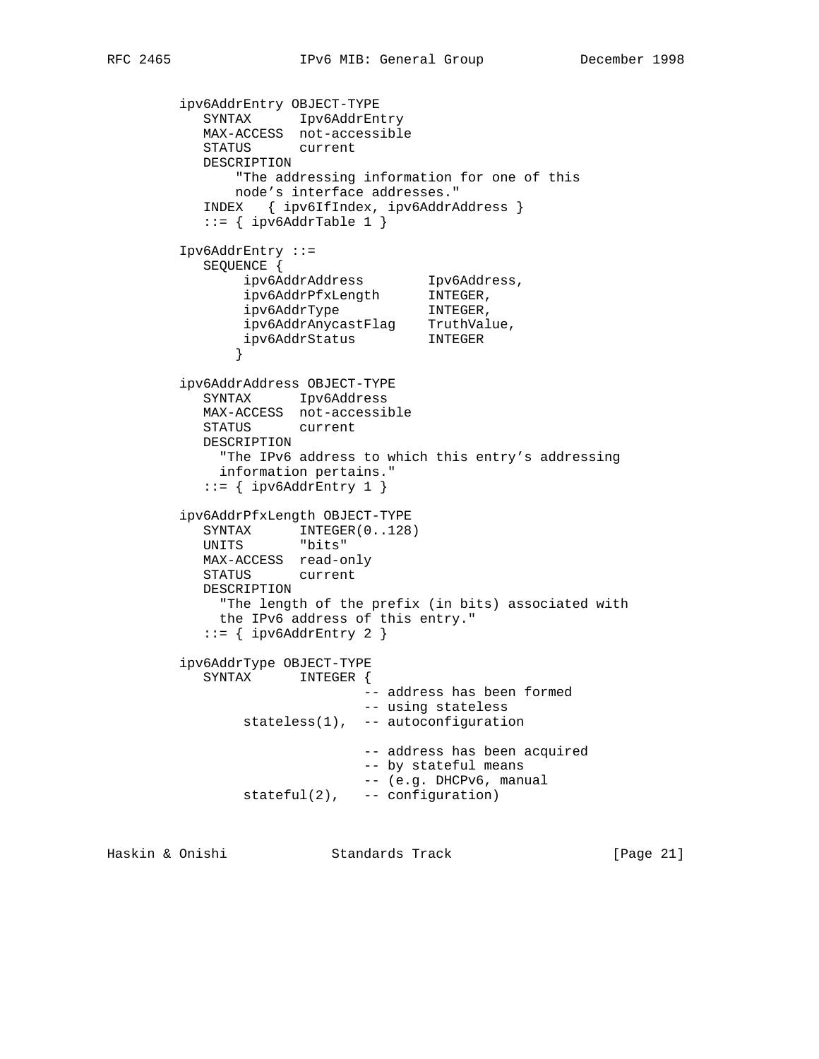```
 ipv6AddrEntry OBJECT-TYPE
 SYNTAX Ipv6AddrEntry
 MAX-ACCESS not-accessible
           STATUS current
           DESCRIPTION
              "The addressing information for one of this
              node's interface addresses."
           INDEX { ipv6IfIndex, ipv6AddrAddress }
          ::= { ipv6AddrTable 1 }
        Ipv6AddrEntry ::=
          SEQUENCE {
 ipv6AddrAddress Ipv6Address,
 ipv6AddrPfxLength INTEGER,
 ipv6AddrType INTEGER,
 ipv6AddrAnycastFlag TruthValue,
 ipv6AddrStatus INTEGER
 }
        ipv6AddrAddress OBJECT-TYPE
          SYNTAX Ipv6Address
          MAX-ACCESS not-accessible
           STATUS current
          DESCRIPTION
            "The IPv6 address to which this entry's addressing
            information pertains."
          ::= { ipv6AddrEntry 1 }
        ipv6AddrPfxLength OBJECT-TYPE
SYNTAX INTEGER(0..128)
 UNITS "bits"
          MAX-ACCESS read-only
          STATUS current
          DESCRIPTION
            "The length of the prefix (in bits) associated with
            the IPv6 address of this entry."
          ::= { ipv6AddrEntry 2 }
        ipv6AddrType OBJECT-TYPE
          SYNTAX INTEGER {
                            -- address has been formed
                            -- using stateless
               stateless(1), -- autoconfiguration
                            -- address has been acquired
                            -- by stateful means
                            -- (e.g. DHCPv6, manual
               stateful(2), -- configuration)
```
Haskin & Onishi Standards Track [Page 21]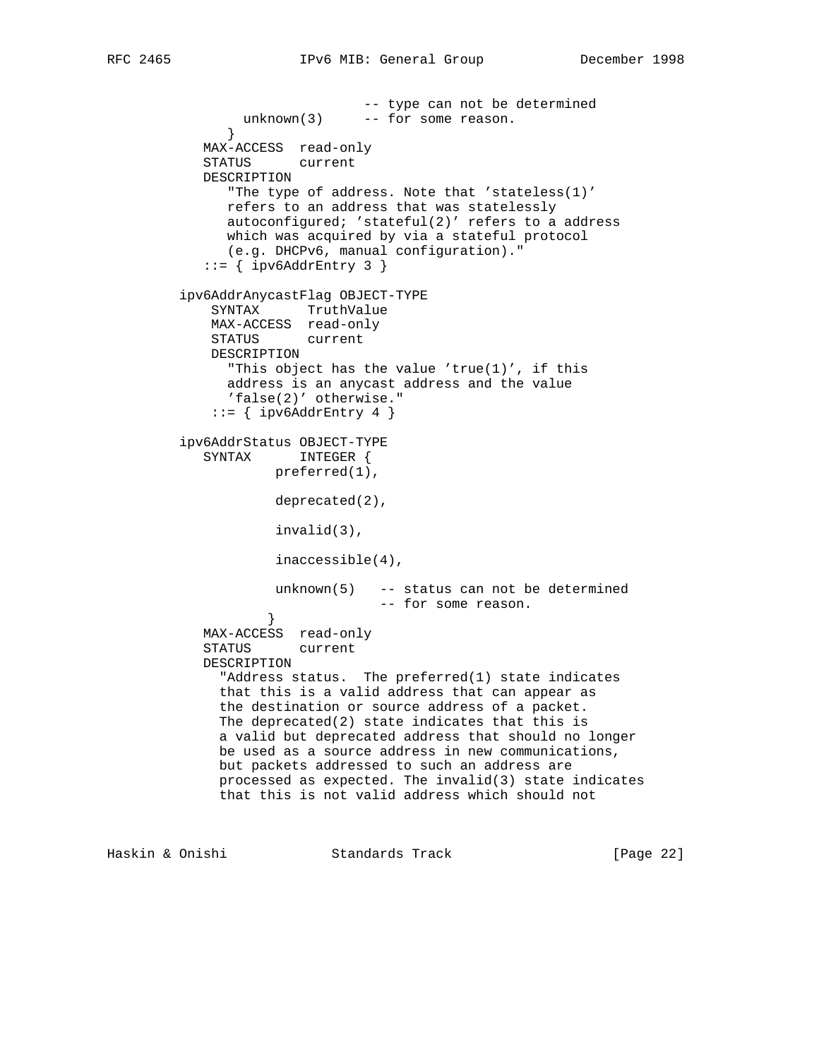```
 -- type can not be determined
              unknown(3) -- for some reason.
 }
            MAX-ACCESS read-only
            STATUS current
            DESCRIPTION
               "The type of address. Note that 'stateless(1)'
               refers to an address that was statelessly
               autoconfigured; 'stateful(2)' refers to a address
               which was acquired by via a stateful protocol
               (e.g. DHCPv6, manual configuration)."
           ::= { ipv6AddrEntry 3 }
         ipv6AddrAnycastFlag OBJECT-TYPE
             SYNTAX TruthValue
             MAX-ACCESS read-only
             STATUS current
             DESCRIPTION
               "This object has the value 'true(1)', if this
               address is an anycast address and the value
               'false(2)' otherwise."
            ::= { ipv6AddrEntry 4 }
         ipv6AddrStatus OBJECT-TYPE
            SYNTAX INTEGER {
                     preferred(1),
                     deprecated(2),
                     invalid(3),
                     inaccessible(4),
                    unknown(5) -- status can not be determined
                                 -- for some reason.
 }
            MAX-ACCESS read-only
            STATUS current
            DESCRIPTION
              "Address status. The preferred(1) state indicates
              that this is a valid address that can appear as
              the destination or source address of a packet.
              The deprecated(2) state indicates that this is
              a valid but deprecated address that should no longer
              be used as a source address in new communications,
              but packets addressed to such an address are
              processed as expected. The invalid(3) state indicates
              that this is not valid address which should not
```
Haskin & Onishi Standards Track [Page 22]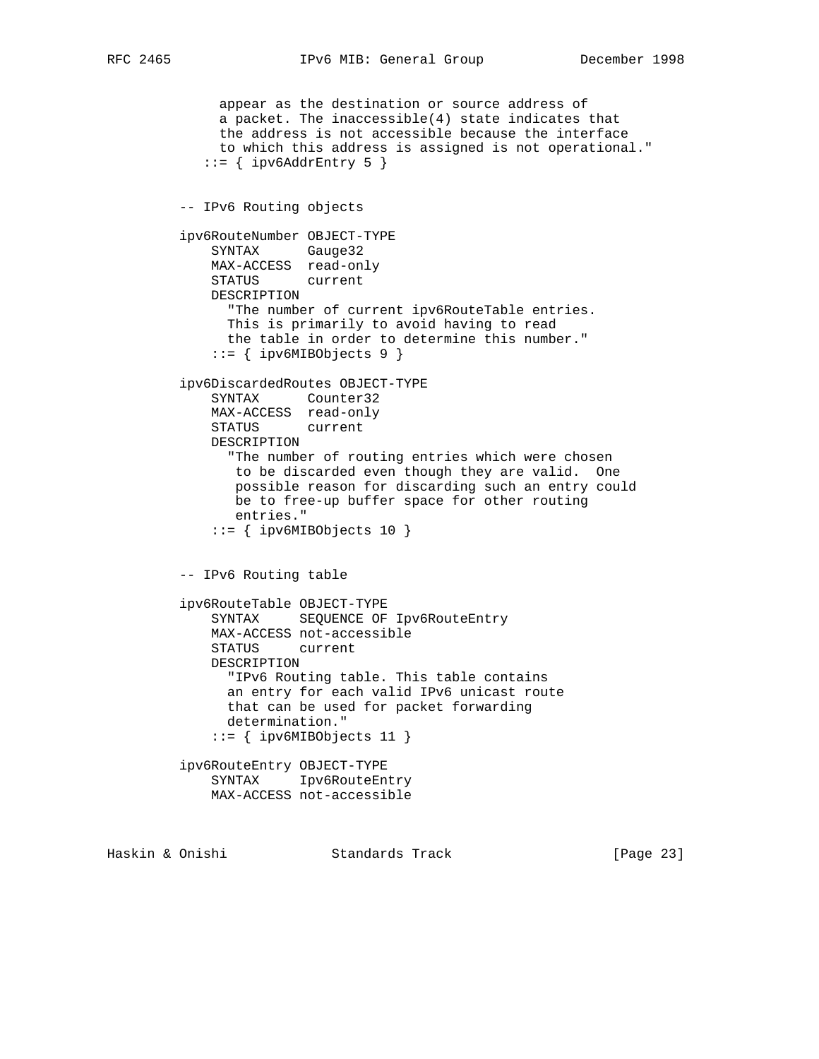```
 appear as the destination or source address of
      a packet. The inaccessible(4) state indicates that
      the address is not accessible because the interface
      to which this address is assigned is not operational."
   ::= { ipv6AddrEntry 5 }
 -- IPv6 Routing objects
 ipv6RouteNumber OBJECT-TYPE
     SYNTAX Gauge32
     MAX-ACCESS read-only
     STATUS current
     DESCRIPTION
       "The number of current ipv6RouteTable entries.
      This is primarily to avoid having to read
      the table in order to determine this number."
    ::= { ipv6MIBObjects 9 }
 ipv6DiscardedRoutes OBJECT-TYPE
     SYNTAX Counter32
     MAX-ACCESS read-only
     STATUS current
    DESCRIPTION
       "The number of routing entries which were chosen
       to be discarded even though they are valid. One
       possible reason for discarding such an entry could
       be to free-up buffer space for other routing
       entries."
     ::= { ipv6MIBObjects 10 }
 -- IPv6 Routing table
 ipv6RouteTable OBJECT-TYPE
     SYNTAX SEQUENCE OF Ipv6RouteEntry
     MAX-ACCESS not-accessible
     STATUS current
     DESCRIPTION
       "IPv6 Routing table. This table contains
       an entry for each valid IPv6 unicast route
      that can be used for packet forwarding
       determination."
     ::= { ipv6MIBObjects 11 }
 ipv6RouteEntry OBJECT-TYPE
     SYNTAX Ipv6RouteEntry
     MAX-ACCESS not-accessible
```
Haskin & Onishi Standards Track [Page 23]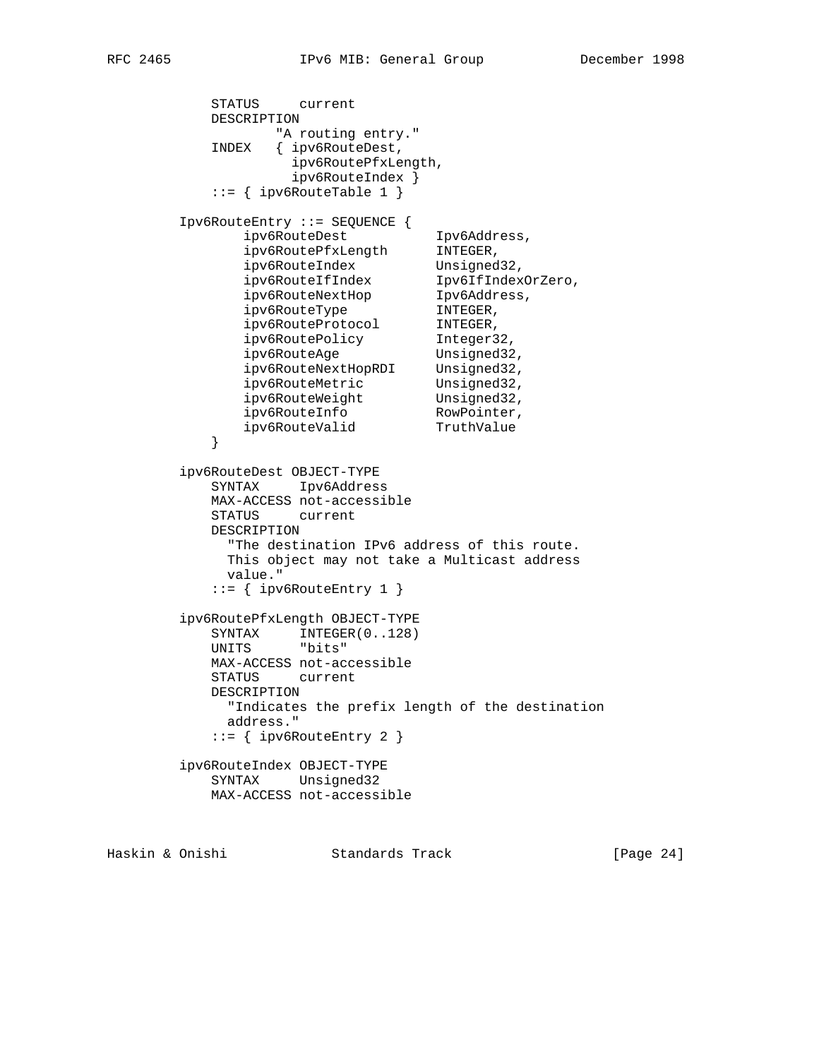STATUS current DESCRIPTION "A routing entry." INDEX { ipv6RouteDest, ipv6RoutePfxLength, ipv6RouteIndex }  $::=$  { ipv6RouteTable 1 } Ipv6RouteEntry ::= SEQUENCE { ipv6RouteDest Tpv6Address, ipv6RoutePfxLength INTEGER, ipv6RouteIndex Unsigned32, ipv6RouteIfIndex Ipv6IfIndexOrZero, ipv6RouteNextHop Ipv6Address, ipv6RouteType INTEGER, ipv6RouteProtocol INTEGER, ipv6RoutePolicy Integer32, ipv6RouteAge Unsigned32, ipv6RouteNextHopRDI Unsigned32, ipv6RouteMetric Unsigned32, ipv6RouteWeight Unsigned32, ipv6RouteInfo RowPointer, ipv6RouteValid TruthValue } ipv6RouteDest OBJECT-TYPE SYNTAX Ipv6Address MAX-ACCESS not-accessible STATUS current DESCRIPTION "The destination IPv6 address of this route. This object may not take a Multicast address value."  $::=$  { ipv6RouteEntry 1 } ipv6RoutePfxLength OBJECT-TYPE SYNTAX INTEGER(0..128) UNITS "bits" MAX-ACCESS not-accessible STATUS current DESCRIPTION "Indicates the prefix length of the destination address."  $::=$  { ipv6RouteEntry 2 } ipv6RouteIndex OBJECT-TYPE SYNTAX Unsigned32 MAX-ACCESS not-accessible

Haskin & Onishi Standards Track [Page 24]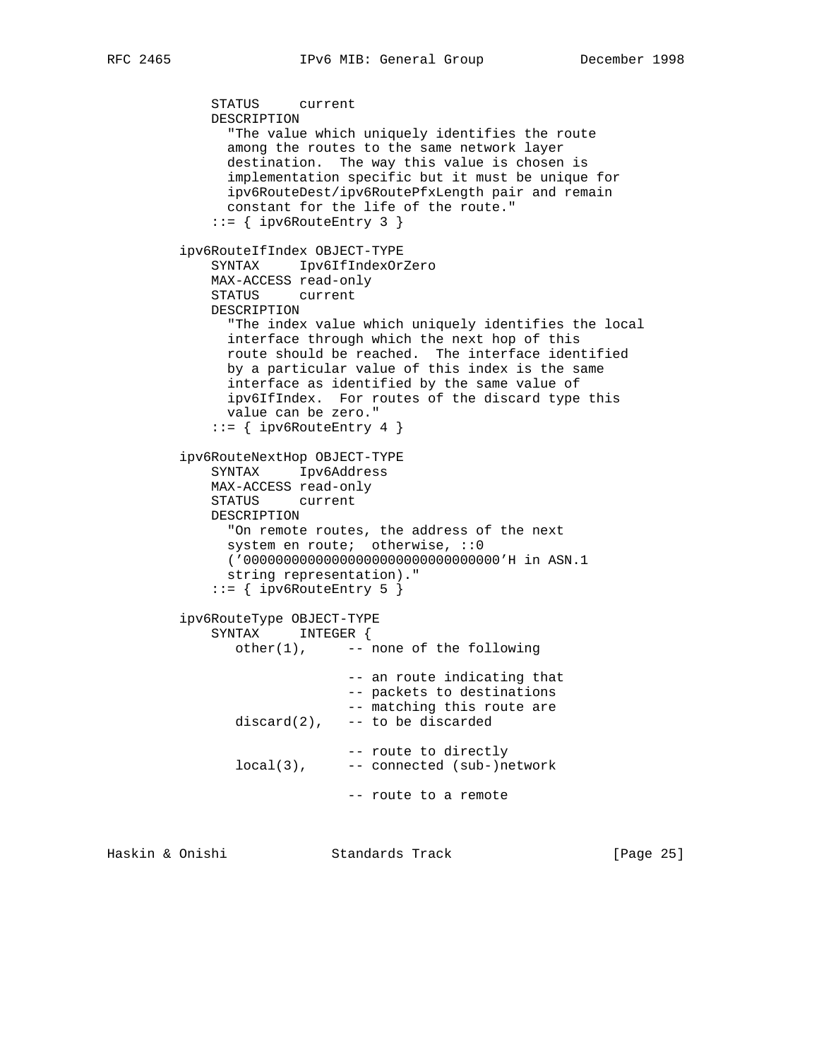```
 STATUS current
    DESCRIPTION
      "The value which uniquely identifies the route
      among the routes to the same network layer
      destination. The way this value is chosen is
      implementation specific but it must be unique for
      ipv6RouteDest/ipv6RoutePfxLength pair and remain
      constant for the life of the route."
    ::= { ipv6RouteEntry 3 }
 ipv6RouteIfIndex OBJECT-TYPE
    SYNTAX Ipv6IfIndexOrZero
    MAX-ACCESS read-only
    STATUS current
    DESCRIPTION
      "The index value which uniquely identifies the local
      interface through which the next hop of this
      route should be reached. The interface identified
      by a particular value of this index is the same
      interface as identified by the same value of
      ipv6IfIndex. For routes of the discard type this
      value can be zero."
    ::= { ipv6RouteEntry 4 }
 ipv6RouteNextHop OBJECT-TYPE
    SYNTAX Ipv6Address
    MAX-ACCESS read-only
    STATUS current
    DESCRIPTION
      "On remote routes, the address of the next
     system en route; otherwise, :: 0
      ('00000000000000000000000000000000'H in ASN.1
      string representation)."
     ::= { ipv6RouteEntry 5 }
 ipv6RouteType OBJECT-TYPE
    SYNTAX INTEGER {
       other(1), -- none of the following
                      -- an route indicating that
                      -- packets to destinations
                      -- matching this route are
      discard(2), -- to be discarded
                     -- route to directly
       local(3), -- connected (sub-)network
                     -- route to a remote
```
Haskin & Onishi Standards Track [Page 25]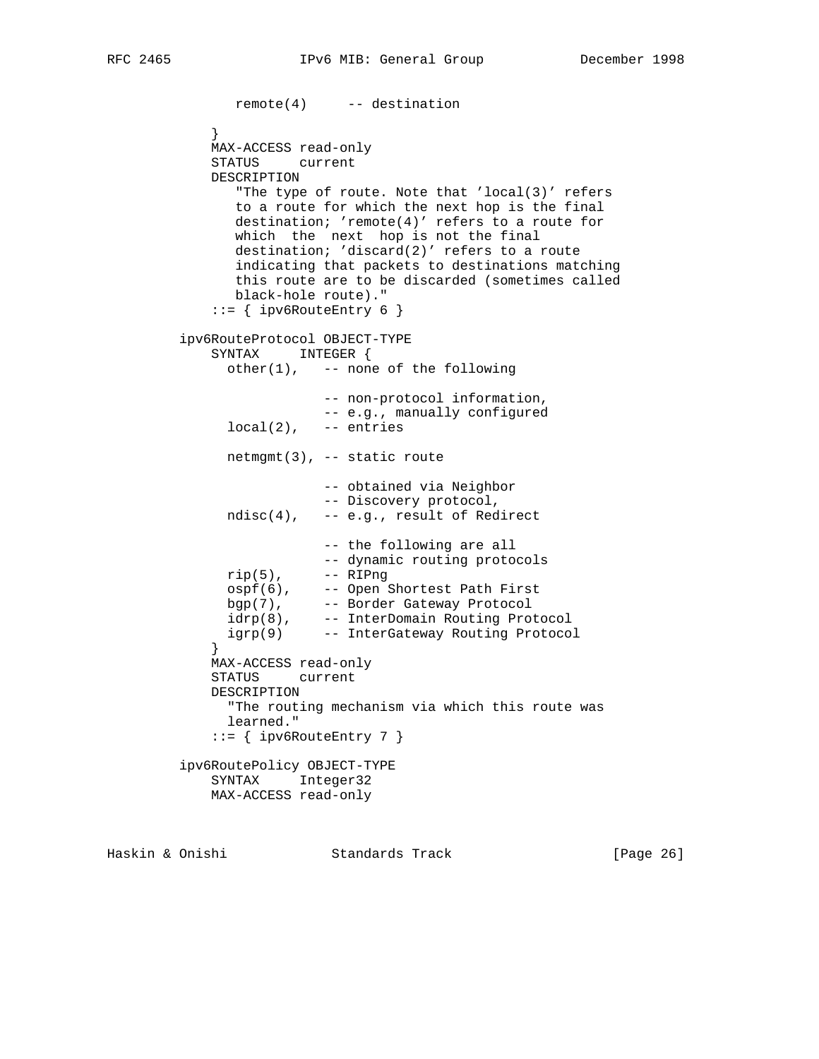```
 remote(4) -- destination
 }
            MAX-ACCESS read-only
            STATUS current
            DESCRIPTION
               "The type of route. Note that 'local(3)' refers
               to a route for which the next hop is the final
               destination; 'remote(4)' refers to a route for
               which the next hop is not the final
               destination; 'discard(2)' refers to a route
               indicating that packets to destinations matching
               this route are to be discarded (sometimes called
               black-hole route)."
            ::= { ipv6RouteEntry 6 }
         ipv6RouteProtocol OBJECT-TYPE
            SYNTAX INTEGER {
              other(1), -- none of the following
                         -- non-protocol information,
                         -- e.g., manually configured
             local(2), -- entries
              netmgmt(3), -- static route
                          -- obtained via Neighbor
                          -- Discovery protocol,
              ndisc(4), -- e.g., result of Redirect
                         -- the following are all
                         -- dynamic routing protocols
             rip(5), -- RIPng
ospf(6), -- Open Shortest Path First
bgp(7), -- Border Gateway Protocol
 idrp(8), -- InterDomain Routing Protocol
 igrp(9) -- InterGateway Routing Protocol
 }
            MAX-ACCESS read-only
            STATUS current
            DESCRIPTION
              "The routing mechanism via which this route was
              learned."
           ::= { ipv6RouteEntry 7 }
         ipv6RoutePolicy OBJECT-TYPE
            SYNTAX Integer32
            MAX-ACCESS read-only
```
Haskin & Onishi Standards Track [Page 26]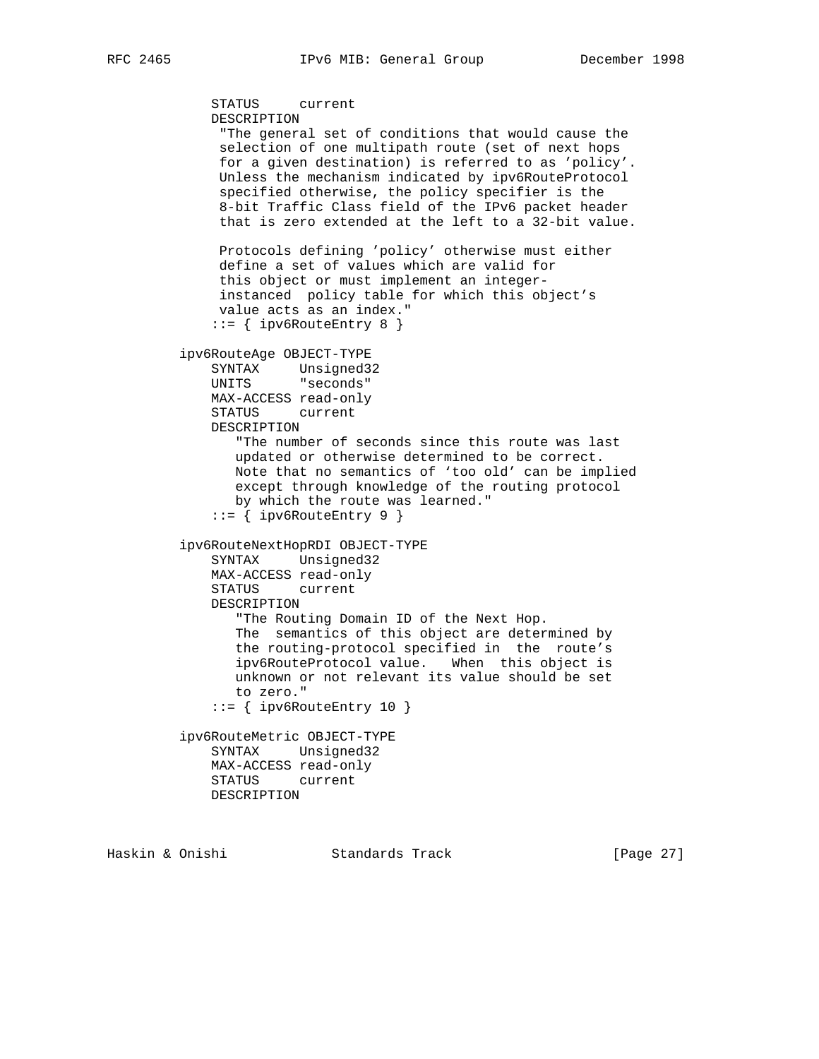```
 STATUS current
    DESCRIPTION
     "The general set of conditions that would cause the
     selection of one multipath route (set of next hops
     for a given destination) is referred to as 'policy'.
     Unless the mechanism indicated by ipv6RouteProtocol
     specified otherwise, the policy specifier is the
     8-bit Traffic Class field of the IPv6 packet header
     that is zero extended at the left to a 32-bit value.
     Protocols defining 'policy' otherwise must either
     define a set of values which are valid for
     this object or must implement an integer-
     instanced policy table for which this object's
     value acts as an index."
     ::= { ipv6RouteEntry 8 }
 ipv6RouteAge OBJECT-TYPE
    SYNTAX Unsigned32
    UNITS "seconds"
    MAX-ACCESS read-only
    STATUS current
    DESCRIPTION
        "The number of seconds since this route was last
       updated or otherwise determined to be correct.
       Note that no semantics of 'too old' can be implied
       except through knowledge of the routing protocol
       by which the route was learned."
    ::= { ipv6RouteEntry 9 }
 ipv6RouteNextHopRDI OBJECT-TYPE
    SYNTAX Unsigned32
    MAX-ACCESS read-only
    STATUS current
    DESCRIPTION
        "The Routing Domain ID of the Next Hop.
       The semantics of this object are determined by
       the routing-protocol specified in the route's
       ipv6RouteProtocol value. When this object is
       unknown or not relevant its value should be set
       to zero."
     ::= { ipv6RouteEntry 10 }
 ipv6RouteMetric OBJECT-TYPE
    SYNTAX Unsigned32
    MAX-ACCESS read-only
    STATUS current
    DESCRIPTION
```
Haskin & Onishi Standards Track [Page 27]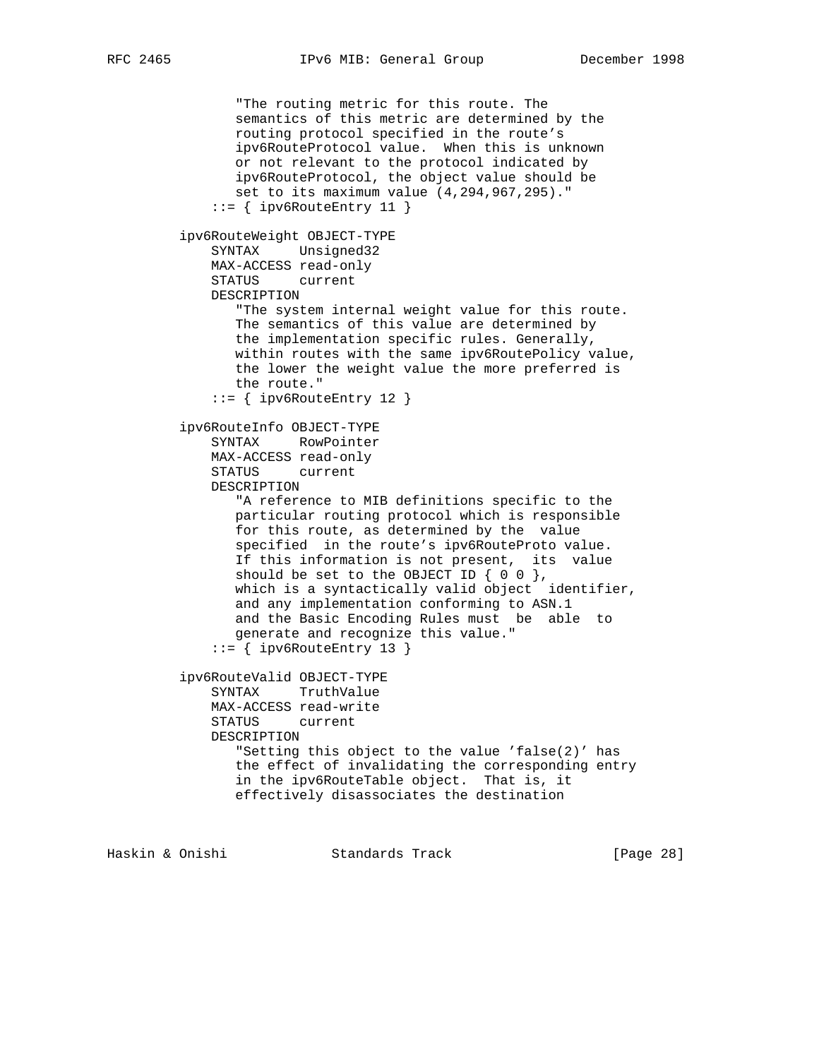"The routing metric for this route. The semantics of this metric are determined by the routing protocol specified in the route's ipv6RouteProtocol value. When this is unknown or not relevant to the protocol indicated by ipv6RouteProtocol, the object value should be set to its maximum value (4,294,967,295)."  $::=$  { ipv6RouteEntry 11 } ipv6RouteWeight OBJECT-TYPE SYNTAX Unsigned32 MAX-ACCESS read-only STATUS current DESCRIPTION "The system internal weight value for this route. The semantics of this value are determined by the implementation specific rules. Generally, within routes with the same ipv6RoutePolicy value, the lower the weight value the more preferred is the route."  $::=$  { ipv6RouteEntry 12 } ipv6RouteInfo OBJECT-TYPE SYNTAX RowPointer MAX-ACCESS read-only STATUS current DESCRIPTION "A reference to MIB definitions specific to the particular routing protocol which is responsible for this route, as determined by the value specified in the route's ipv6RouteProto value. If this information is not present, its value should be set to the OBJECT ID  $\{ 0 0 \}$ , which is a syntactically valid object identifier, and any implementation conforming to ASN.1 and the Basic Encoding Rules must be able to generate and recognize this value."  $::=$  { ipv6RouteEntry 13 } ipv6RouteValid OBJECT-TYPE SYNTAX TruthValue MAX-ACCESS read-write STATUS current DESCRIPTION "Setting this object to the value 'false(2)' has the effect of invalidating the corresponding entry in the ipv6RouteTable object. That is, it effectively disassociates the destination

Haskin & Onishi Standards Track [Page 28]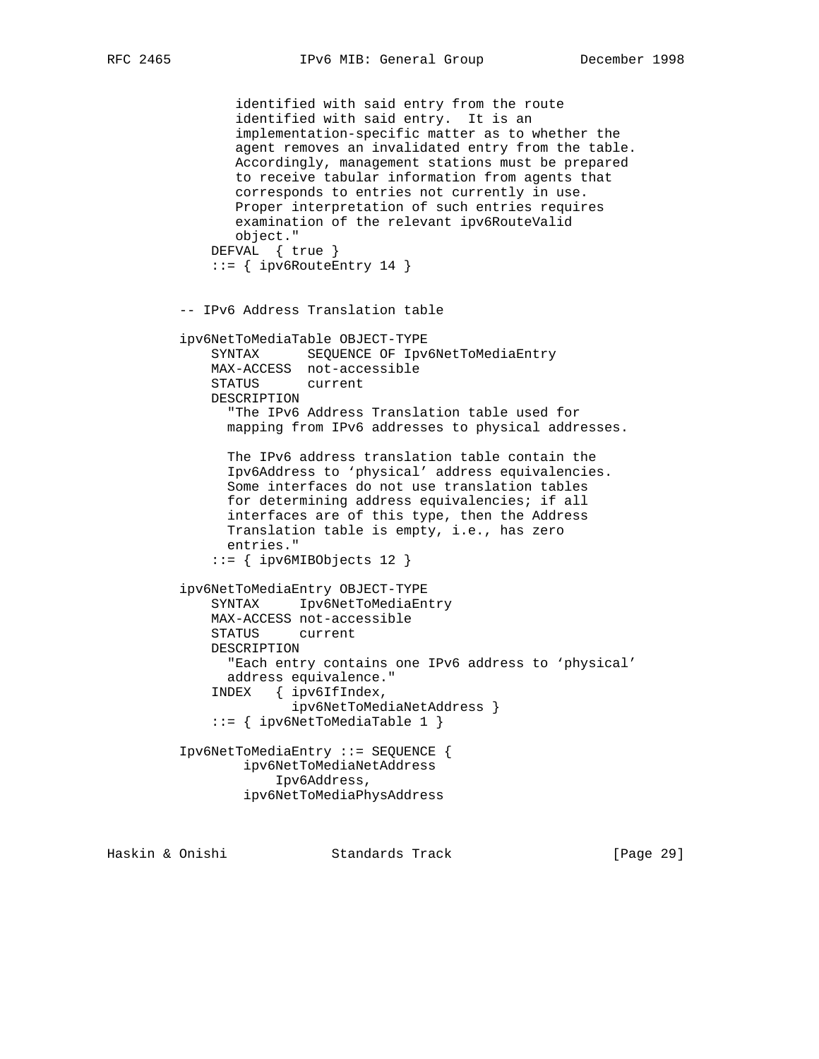identified with said entry from the route identified with said entry. It is an implementation-specific matter as to whether the agent removes an invalidated entry from the table. Accordingly, management stations must be prepared to receive tabular information from agents that corresponds to entries not currently in use. Proper interpretation of such entries requires examination of the relevant ipv6RouteValid object." DEFVAL { true }  $::=$  { ipv6RouteEntry 14 } -- IPv6 Address Translation table ipv6NetToMediaTable OBJECT-TYPE SYNTAX SEQUENCE OF Ipv6NetToMediaEntry MAX-ACCESS not-accessible STATUS current DESCRIPTION "The IPv6 Address Translation table used for mapping from IPv6 addresses to physical addresses. The IPv6 address translation table contain the Ipv6Address to 'physical' address equivalencies. Some interfaces do not use translation tables for determining address equivalencies; if all interfaces are of this type, then the Address Translation table is empty, i.e., has zero entries." ::= { ipv6MIBObjects 12 } ipv6NetToMediaEntry OBJECT-TYPE SYNTAX Ipv6NetToMediaEntry MAX-ACCESS not-accessible STATUS current DESCRIPTION "Each entry contains one IPv6 address to 'physical' address equivalence." INDEX { ipv6IfIndex, ipv6NetToMediaNetAddress } ::= { ipv6NetToMediaTable 1 } Ipv6NetToMediaEntry ::= SEQUENCE { ipv6NetToMediaNetAddress Ipv6Address, ipv6NetToMediaPhysAddress

Haskin & Onishi Standards Track [Page 29]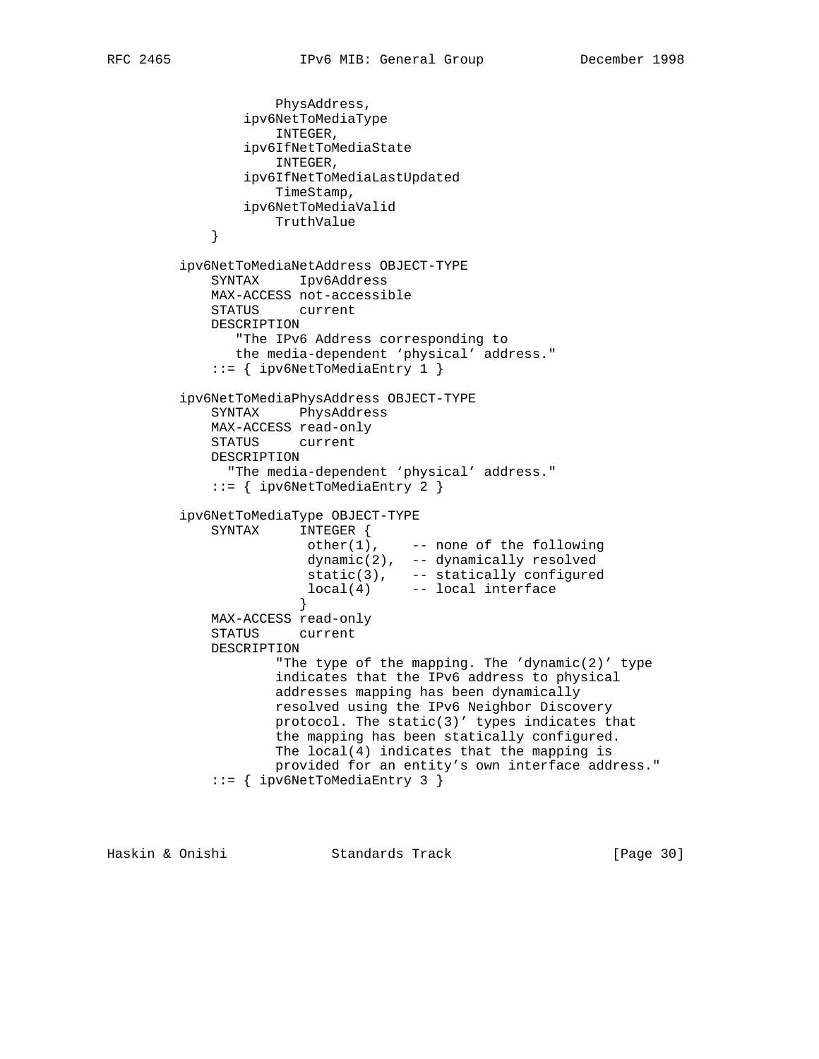```
 PhysAddress,
                ipv6NetToMediaType
                    INTEGER,
                ipv6IfNetToMediaState
                    INTEGER,
                ipv6IfNetToMediaLastUpdated
                    TimeStamp,
                ipv6NetToMediaValid
            TruthValue }
 }
         ipv6NetToMediaNetAddress OBJECT-TYPE
             SYNTAX Ipv6Address
             MAX-ACCESS not-accessible
             STATUS current
             DESCRIPTION
               "The IPv6 Address corresponding to
               the media-dependent 'physical' address."
             ::= { ipv6NetToMediaEntry 1 }
         ipv6NetToMediaPhysAddress OBJECT-TYPE
             SYNTAX PhysAddress
             MAX-ACCESS read-only
             STATUS current
             DESCRIPTION
               "The media-dependent 'physical' address."
             ::= { ipv6NetToMediaEntry 2 }
         ipv6NetToMediaType OBJECT-TYPE
             SYNTAX INTEGER {
                      other(1), -- none of the following
                        dynamic(2), -- dynamically resolved
 static(3), -- statically configured
 local(4) -- local interface
 }
             MAX-ACCESS read-only
             STATUS current
             DESCRIPTION
                   "The type of the mapping. The 'dynamic(2)' type
                    indicates that the IPv6 address to physical
                    addresses mapping has been dynamically
                    resolved using the IPv6 Neighbor Discovery
                    protocol. The static(3)' types indicates that
                    the mapping has been statically configured.
                    The local(4) indicates that the mapping is
                    provided for an entity's own interface address."
             ::= { ipv6NetToMediaEntry 3 }
```
Haskin & Onishi Standards Track [Page 30]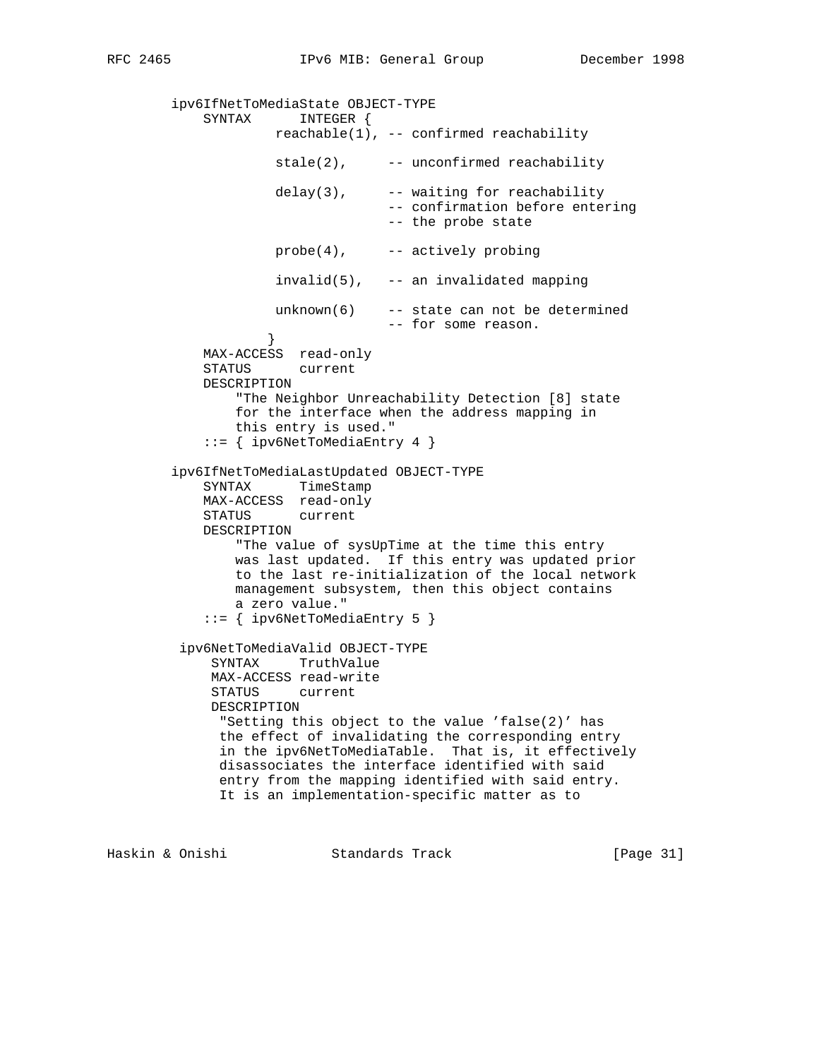ipv6IfNetToMediaState OBJECT-TYPE SYNTAX INTEGER {  $reachable(1)$ , -- confirmed reachability  $state(2)$ ,  $---$  unconfirmed reachability  $delay(3)$ ,  $-- waiting for reachability$  -- confirmation before entering -- the probe state  $probe(4)$ ,  $-- activity probing$  $invald(5)$ , -- an invalidated mapping unknown(6) -- state can not be determined -- for some reason. } MAX-ACCESS read-only STATUS current DESCRIPTION "The Neighbor Unreachability Detection [8] state for the interface when the address mapping in this entry is used." ::= { ipv6NetToMediaEntry 4 } ipv6IfNetToMediaLastUpdated OBJECT-TYPE SYNTAX TimeStamp MAX-ACCESS read-only STATUS current DESCRIPTION "The value of sysUpTime at the time this entry was last updated. If this entry was updated prior to the last re-initialization of the local network management subsystem, then this object contains a zero value." ::= { ipv6NetToMediaEntry 5 } ipv6NetToMediaValid OBJECT-TYPE SYNTAX TruthValue MAX-ACCESS read-write STATUS current DESCRIPTION "Setting this object to the value 'false(2)' has the effect of invalidating the corresponding entry in the ipv6NetToMediaTable. That is, it effectively disassociates the interface identified with said entry from the mapping identified with said entry. It is an implementation-specific matter as to

Haskin & Onishi Standards Track [Page 31]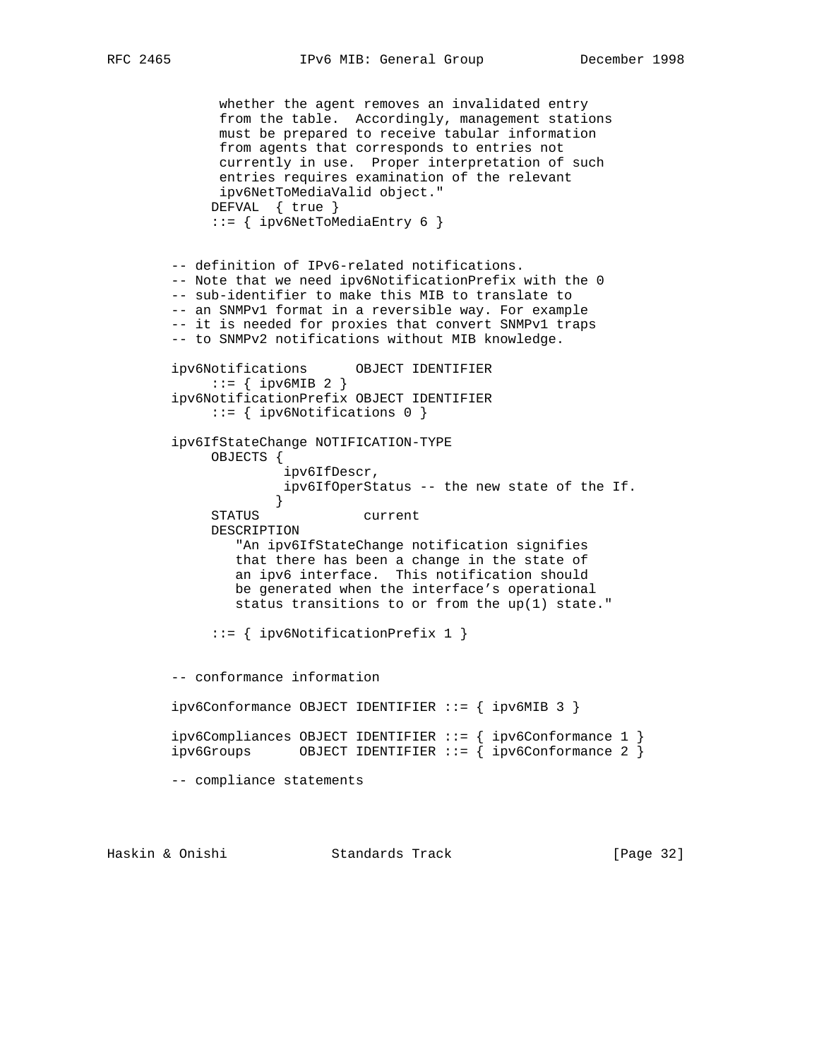RFC 2465 IPv6 MIB: General Group December 1998

```
 whether the agent removes an invalidated entry
              from the table. Accordingly, management stations
              must be prepared to receive tabular information
              from agents that corresponds to entries not
              currently in use. Proper interpretation of such
              entries requires examination of the relevant
              ipv6NetToMediaValid object."
             DEFVAL { true }
             ::= { ipv6NetToMediaEntry 6 }
        -- definition of IPv6-related notifications.
        -- Note that we need ipv6NotificationPrefix with the 0
        -- sub-identifier to make this MIB to translate to
        -- an SNMPv1 format in a reversible way. For example
        -- it is needed for proxies that convert SNMPv1 traps
        -- to SNMPv2 notifications without MIB knowledge.
        ipv6Notifications OBJECT IDENTIFIER
             ::= { ipv6MIB 2 }
        ipv6NotificationPrefix OBJECT IDENTIFIER
             ::= { ipv6Notifications 0 }
        ipv6IfStateChange NOTIFICATION-TYPE
             OBJECTS {
                      ipv6IfDescr,
                      ipv6IfOperStatus -- the new state of the If.
 }
             STATUS current
             DESCRIPTION
                "An ipv6IfStateChange notification signifies
                that there has been a change in the state of
                an ipv6 interface. This notification should
                be generated when the interface's operational
                status transitions to or from the up(1) state."
             ::= { ipv6NotificationPrefix 1 }
        -- conformance information
        ipv6Conformance OBJECT IDENTIFIER ::= { ipv6MIB 3 }
        ipv6Compliances OBJECT IDENTIFIER ::= { ipv6Conformance 1 }
       ipv6Groups OBJECT IDENTIFIER ::= { ipv6Conformance 2 }
        -- compliance statements
```
Haskin & Onishi Standards Track [Page 32]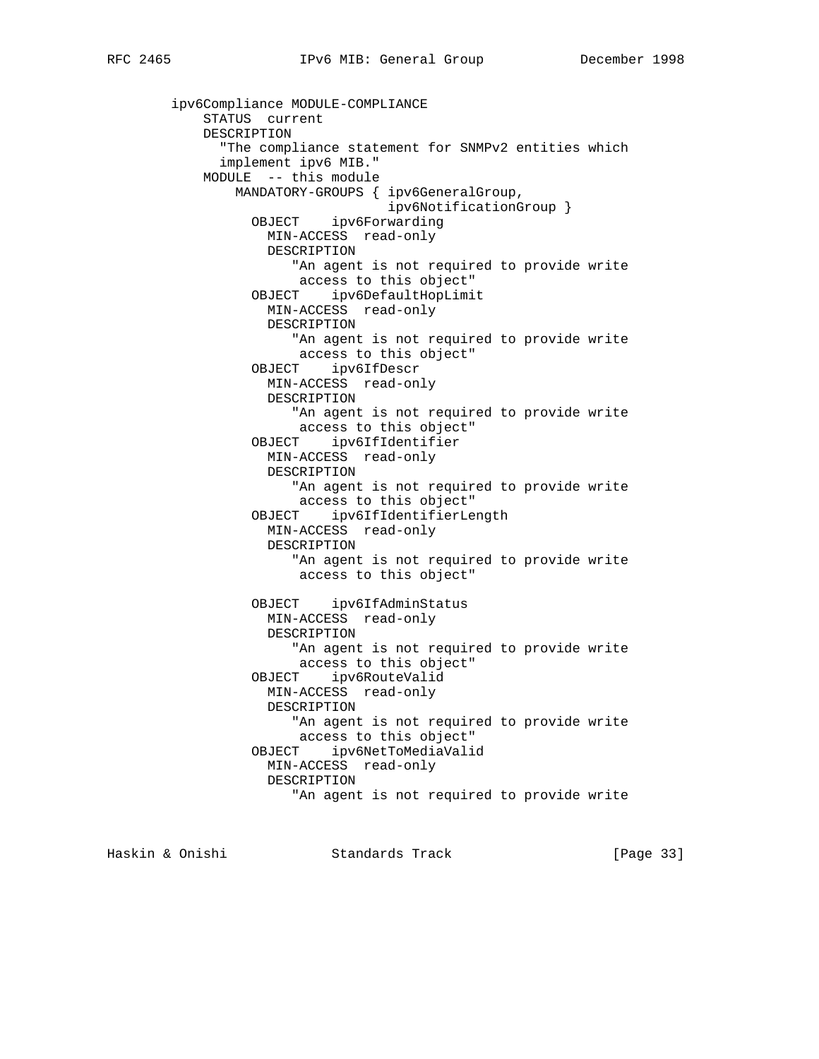```
 ipv6Compliance MODULE-COMPLIANCE
    STATUS current
    DESCRIPTION
       "The compliance statement for SNMPv2 entities which
      implement ipv6 MIB."
    MODULE -- this module
        MANDATORY-GROUPS { ipv6GeneralGroup,
                           ipv6NotificationGroup }
           OBJECT ipv6Forwarding
            MIN-ACCESS read-only
            DESCRIPTION
                "An agent is not required to provide write
                access to this object"
           OBJECT ipv6DefaultHopLimit
            MIN-ACCESS read-only
            DESCRIPTION
                "An agent is not required to provide write
                access to this object"
          OBJECT ipv6IfDescr
            MIN-ACCESS read-only
            DESCRIPTION
                "An agent is not required to provide write
                access to this object"
          OBJECT ipv6IfIdentifier
            MIN-ACCESS read-only
            DESCRIPTION
                "An agent is not required to provide write
                access to this object"
          OBJECT ipv6IfIdentifierLength
            MIN-ACCESS read-only
            DESCRIPTION
                "An agent is not required to provide write
                 access to this object"
          OBJECT ipv6IfAdminStatus
            MIN-ACCESS read-only
            DESCRIPTION
                "An agent is not required to provide write
                access to this object"
          OBJECT ipv6RouteValid
            MIN-ACCESS read-only
            DESCRIPTION
                "An agent is not required to provide write
                access to this object"
           OBJECT ipv6NetToMediaValid
            MIN-ACCESS read-only
            DESCRIPTION
                "An agent is not required to provide write
```
Haskin & Onishi Standards Track [Page 33]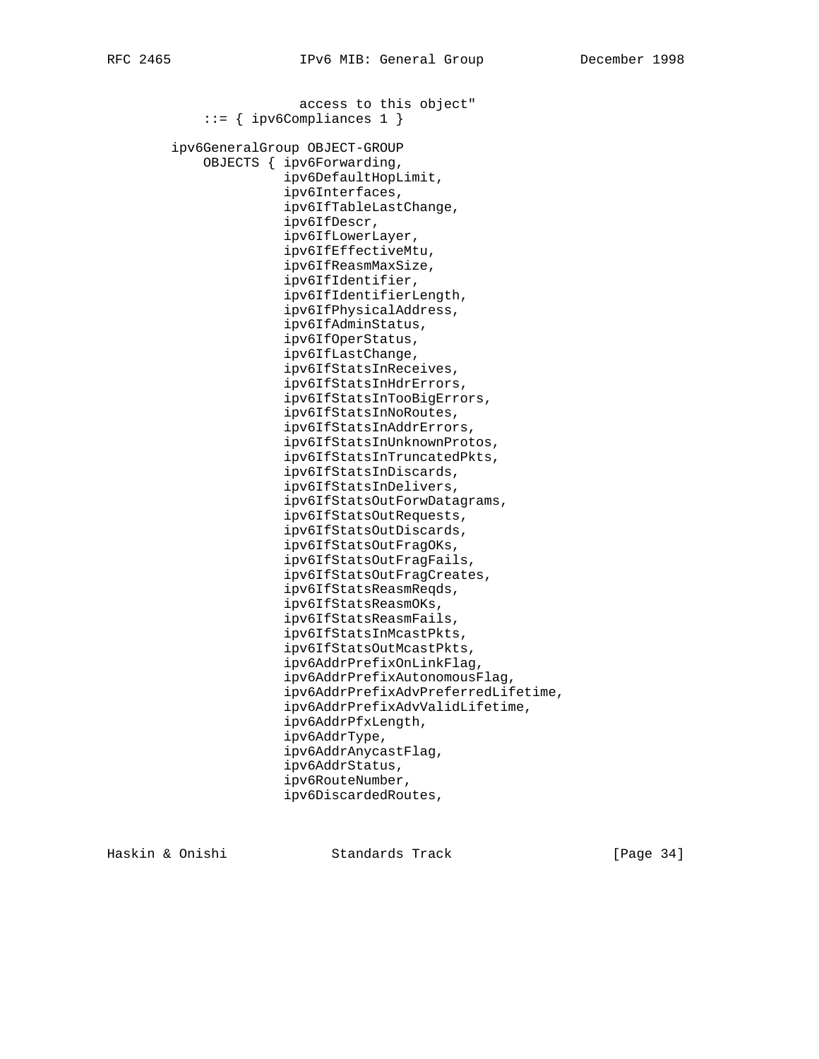access to this object" ::= { ipv6Compliances 1 } ipv6GeneralGroup OBJECT-GROUP OBJECTS { ipv6Forwarding, ipv6DefaultHopLimit, ipv6Interfaces, ipv6IfTableLastChange, ipv6IfDescr, ipv6IfLowerLayer, ipv6IfEffectiveMtu, ipv6IfReasmMaxSize, ipv6IfIdentifier, ipv6IfIdentifierLength, ipv6IfPhysicalAddress, ipv6IfAdminStatus, ipv6IfOperStatus, ipv6IfLastChange, ipv6IfStatsInReceives, ipv6IfStatsInHdrErrors, ipv6IfStatsInTooBigErrors, ipv6IfStatsInNoRoutes, ipv6IfStatsInAddrErrors, ipv6IfStatsInUnknownProtos, ipv6IfStatsInTruncatedPkts, ipv6IfStatsInDiscards, ipv6IfStatsInDelivers, ipv6IfStatsOutForwDatagrams, ipv6IfStatsOutRequests, ipv6IfStatsOutDiscards, ipv6IfStatsOutFragOKs, ipv6IfStatsOutFragFails, ipv6IfStatsOutFragCreates, ipv6IfStatsReasmReqds, ipv6IfStatsReasmOKs, ipv6IfStatsReasmFails, ipv6IfStatsInMcastPkts, ipv6IfStatsOutMcastPkts, ipv6AddrPrefixOnLinkFlag, ipv6AddrPrefixAutonomousFlag, ipv6AddrPrefixAdvPreferredLifetime, ipv6AddrPrefixAdvValidLifetime, ipv6AddrPfxLength, ipv6AddrType, ipv6AddrAnycastFlag, ipv6AddrStatus, ipv6RouteNumber, ipv6DiscardedRoutes,

Haskin & Onishi Standards Track [Page 34]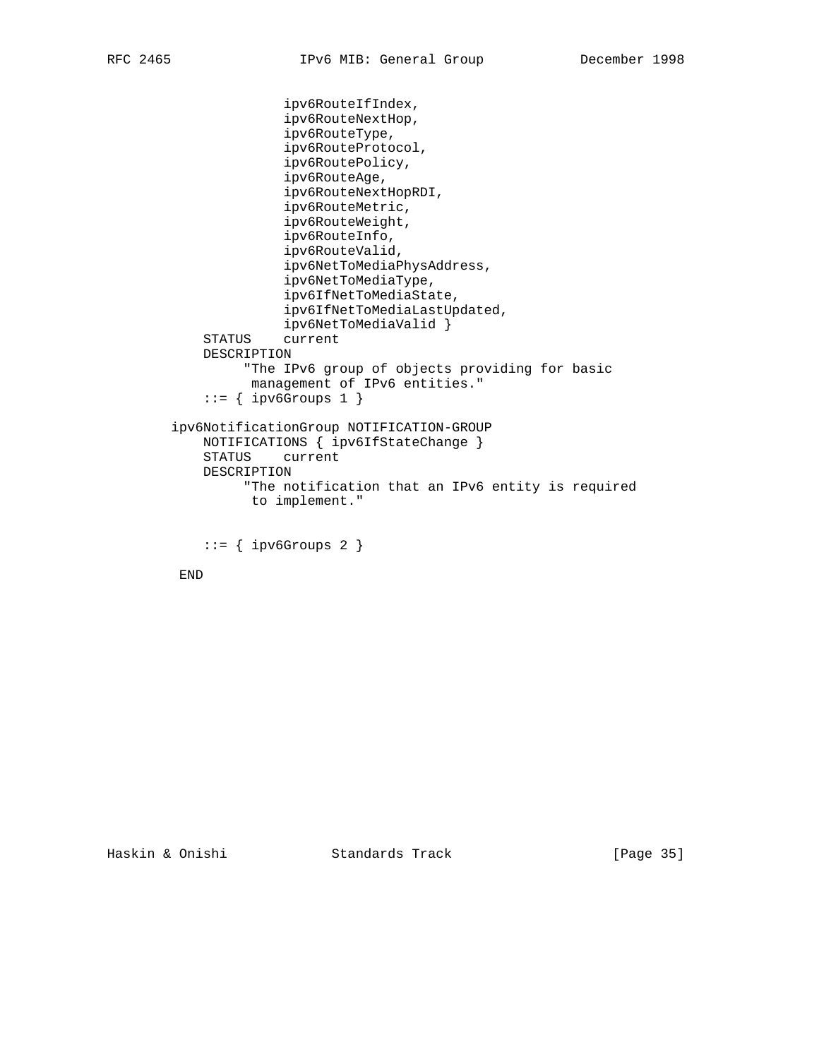```
 ipv6RouteIfIndex,
                ipv6RouteNextHop,
               ipv6RouteType,
               ipv6RouteProtocol,
               ipv6RoutePolicy,
               ipv6RouteAge,
                ipv6RouteNextHopRDI,
                ipv6RouteMetric,
                ipv6RouteWeight,
               ipv6RouteInfo,
                ipv6RouteValid,
                ipv6NetToMediaPhysAddress,
                ipv6NetToMediaType,
               ipv6IfNetToMediaState,
               ipv6IfNetToMediaLastUpdated,
               ipv6NetToMediaValid }
     STATUS current
     DESCRIPTION
          "The IPv6 group of objects providing for basic
           management of IPv6 entities."
    ::= { ipv6Groups 1 }
 ipv6NotificationGroup NOTIFICATION-GROUP
   NOTIFICATIONS { ipv6IfStateChange }<br>STATUS current
             current
    DESCRIPTION
          "The notification that an IPv6 entity is required
           to implement."
    ::= { ipv6Groups 2 }
```
END

Haskin & Onishi Standards Track [Page 35]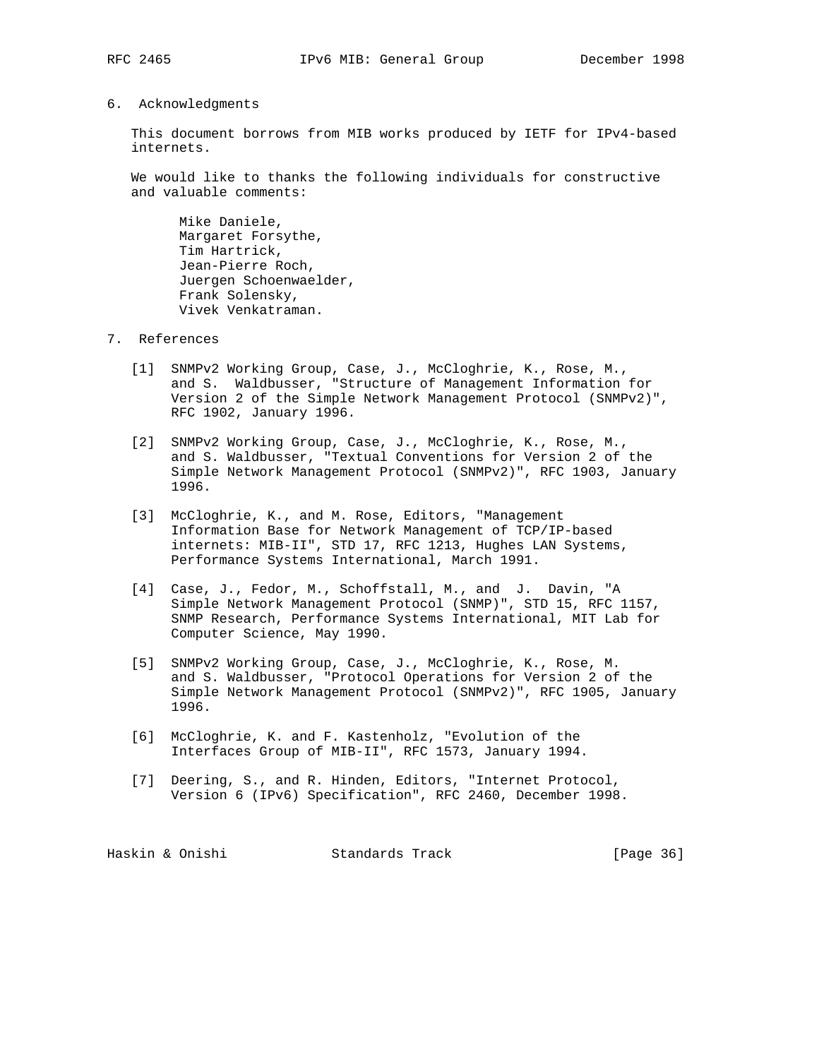#### 6. Acknowledgments

 This document borrows from MIB works produced by IETF for IPv4-based internets.

 We would like to thanks the following individuals for constructive and valuable comments:

 Mike Daniele, Margaret Forsythe, Tim Hartrick, Jean-Pierre Roch, Juergen Schoenwaelder, Frank Solensky, Vivek Venkatraman.

## 7. References

- [1] SNMPv2 Working Group, Case, J., McCloghrie, K., Rose, M., and S. Waldbusser, "Structure of Management Information for Version 2 of the Simple Network Management Protocol (SNMPv2)", RFC 1902, January 1996.
- [2] SNMPv2 Working Group, Case, J., McCloghrie, K., Rose, M., and S. Waldbusser, "Textual Conventions for Version 2 of the Simple Network Management Protocol (SNMPv2)", RFC 1903, January 1996.
- [3] McCloghrie, K., and M. Rose, Editors, "Management Information Base for Network Management of TCP/IP-based internets: MIB-II", STD 17, RFC 1213, Hughes LAN Systems, Performance Systems International, March 1991.
- [4] Case, J., Fedor, M., Schoffstall, M., and J. Davin, "A Simple Network Management Protocol (SNMP)", STD 15, RFC 1157, SNMP Research, Performance Systems International, MIT Lab for Computer Science, May 1990.
- [5] SNMPv2 Working Group, Case, J., McCloghrie, K., Rose, M. and S. Waldbusser, "Protocol Operations for Version 2 of the Simple Network Management Protocol (SNMPv2)", RFC 1905, January 1996.
- [6] McCloghrie, K. and F. Kastenholz, "Evolution of the Interfaces Group of MIB-II", RFC 1573, January 1994.
- [7] Deering, S., and R. Hinden, Editors, "Internet Protocol, Version 6 (IPv6) Specification", RFC 2460, December 1998.

Haskin & Onishi Standards Track [Page 36]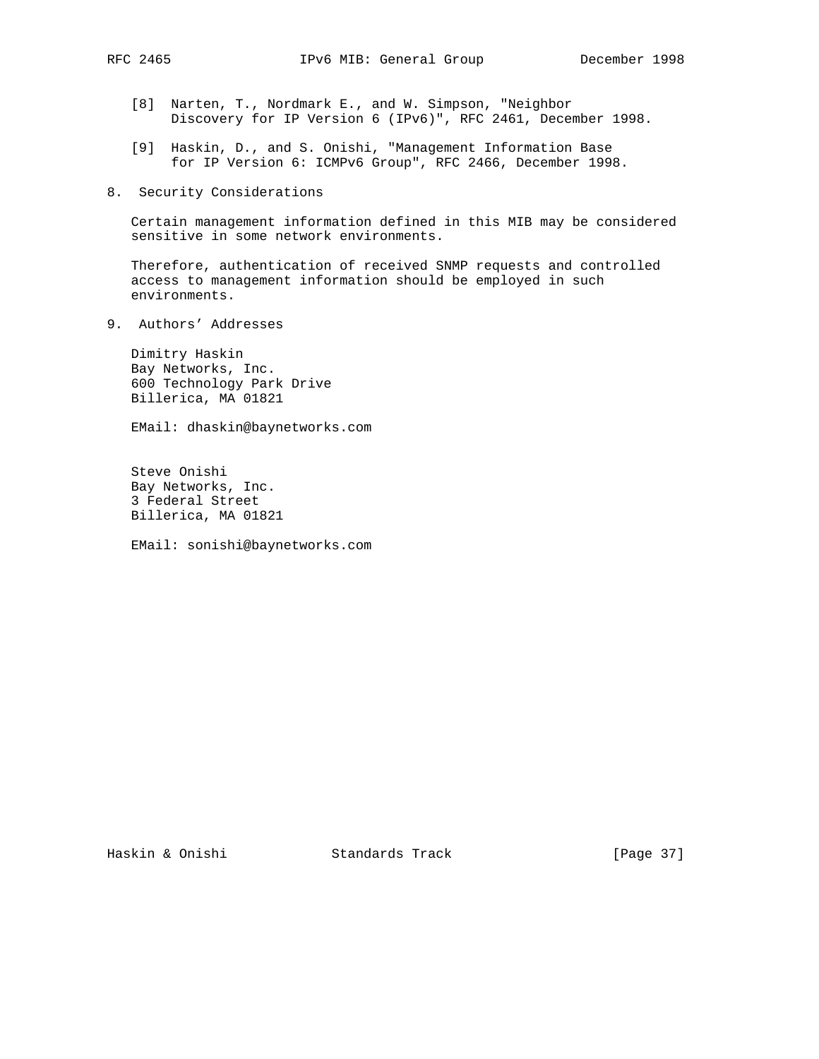- [8] Narten, T., Nordmark E., and W. Simpson, "Neighbor Discovery for IP Version 6 (IPv6)", RFC 2461, December 1998.
- [9] Haskin, D., and S. Onishi, "Management Information Base for IP Version 6: ICMPv6 Group", RFC 2466, December 1998.
- 8. Security Considerations

 Certain management information defined in this MIB may be considered sensitive in some network environments.

 Therefore, authentication of received SNMP requests and controlled access to management information should be employed in such environments.

9. Authors' Addresses

 Dimitry Haskin Bay Networks, Inc. 600 Technology Park Drive Billerica, MA 01821

EMail: dhaskin@baynetworks.com

 Steve Onishi Bay Networks, Inc. 3 Federal Street Billerica, MA 01821

EMail: sonishi@baynetworks.com

Haskin & Onishi Standards Track [Page 37]